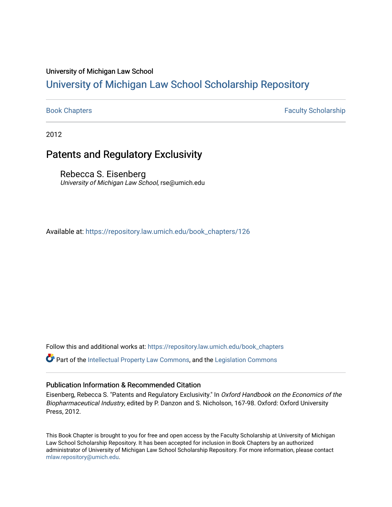#### University of Michigan Law School

# [University of Michigan Law School Scholarship Repository](https://repository.law.umich.edu/)

[Book Chapters](https://repository.law.umich.edu/book_chapters) Faculty Scholarship

2012

# Patents and Regulatory Exclusivity

Rebecca S. Eisenberg University of Michigan Law School, rse@umich.edu

Available at: [https://repository.law.umich.edu/book\\_chapters/126](https://repository.law.umich.edu/book_chapters/126) 

Follow this and additional works at: [https://repository.law.umich.edu/book\\_chapters](https://repository.law.umich.edu/book_chapters?utm_source=repository.law.umich.edu%2Fbook_chapters%2F126&utm_medium=PDF&utm_campaign=PDFCoverPages)

Part of the [Intellectual Property Law Commons,](http://network.bepress.com/hgg/discipline/896?utm_source=repository.law.umich.edu%2Fbook_chapters%2F126&utm_medium=PDF&utm_campaign=PDFCoverPages) and the [Legislation Commons](http://network.bepress.com/hgg/discipline/859?utm_source=repository.law.umich.edu%2Fbook_chapters%2F126&utm_medium=PDF&utm_campaign=PDFCoverPages) 

#### Publication Information & Recommended Citation

Eisenberg, Rebecca S. "Patents and Regulatory Exclusivity." In Oxford Handbook on the Economics of the Biopharmaceutical Industry, edited by P. Danzon and S. Nicholson, 167-98. Oxford: Oxford University Press, 2012.

This Book Chapter is brought to you for free and open access by the Faculty Scholarship at University of Michigan Law School Scholarship Repository. It has been accepted for inclusion in Book Chapters by an authorized administrator of University of Michigan Law School Scholarship Repository. For more information, please contact [mlaw.repository@umich.edu.](mailto:mlaw.repository@umich.edu)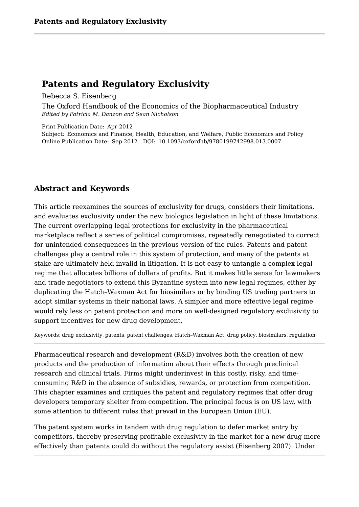Rebecca S. Eisenberg

The Oxford Handbook of the Economics of the Biopharmaceutical Industry *Edited by Patricia M. Danzon and Sean Nicholson*

Print Publication Date: Apr 2012 Subject: Economics and Finance, Health, Education, and Welfare, Public Economics and Policy **Patents and Regulatory Exclusivity**<br> **Patents and Regulatory Exclusivity**<br>
Rebecca S. Eisenberg<br>
The Oxford Handbook of the Economics of the Biopharmaceutical Ind<br> *Edited by Patricia M. Danzon and Sean Nicholson*<br>
Print

# **Abstract and Keywords**

This article reexamines the sources of exclusivity for drugs, considers their limitations, and evaluates exclusivity under the new biologics legislation in light of these limitations. The current overlapping legal protections for exclusivity in the pharmaceutical marketplace reflect a series of political compromises, repeatedly renegotiated to correct for unintended consequences in the previous version of the rules. Patents and patent challenges play a central role in this system of protection, and many of the patents at stake are ultimately held invalid in litigation. It is not easy to untangle a complex legal regime that allocates billions of dollars of profits. But it makes little sense for lawmakers and trade negotiators to extend this Byzantine system into new legal regimes, either by duplicating the Hatch–Waxman Act for biosimilars or by binding US trading partners to adopt similar systems in their national laws. A simpler and more effective legal regime would rely less on patent protection and more on well-designed regulatory exclusivity to support incentives for new drug development.

Keywords: drug exclusivity, patents, patent challenges, Hatch–Waxman Act, drug policy, biosimilars, regulation

Pharmaceutical research and development (R&D) involves both the creation of new products and the production of information about their effects through preclinical research and clinical trials. Firms might underinvest in this costly, risky, and timeconsuming R&D in the absence of subsidies, rewards, or protection from competition. This chapter examines and critiques the patent and regulatory regimes that offer drug developers temporary shelter from competition. The principal focus is on US law, with some attention to different rules that prevail in the European Union (EU).

The patent system works in tandem with drug regulation to defer market entry by competitors, thereby preserving profitable exclusivity in the market for a new drug more effectively than patents could do without the regulatory assist (Eisenberg 2007). Under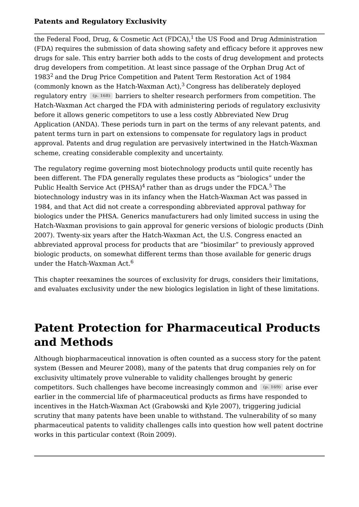the Federal Food, Drug, & Cosmetic Act (FDCA), $^1$  the US Food and Drug Administration (FDA) requires the submission of data showing safety and efficacy before it approves new drugs for sale. This entry barrier both adds to the costs of drug development and protects drug developers from competition. At least since passage of the Orphan Drug Act of  $1983^2$  and the Drug Price Competition and Patent Term Restoration Act of  $1984$ (commonly known as the Hatch-Waxman Act), $^3$  Congress has deliberately deployed regulatory entry  $\left( p. \ 168\right)$  barriers to shelter research performers from competition. The Hatch-Waxman Act charged the FDA with administering periods of regulatory exclusivity before it allows generic competitors to use a less costly Abbreviated New Drug Application (ANDA). These periods turn in part on the terms of any relevant patents, and patent terms turn in part on extensions to compensate for regulatory lags in product approval. Patents and drug regulation are pervasively intertwined in the Hatch-Waxman scheme, creating considerable complexity and uncertainty.

The regulatory regime governing most biotechnology products until quite recently has been different. The FDA generally regulates these products as "biologics" under the Public Health Service Act (PHSA) $^4$  rather than as drugs under the FDCA. $^5$  The  $\,$ biotechnology industry was in its infancy when the Hatch-Waxman Act was passed in 1984, and that Act did not create a corresponding abbreviated approval pathway for biologics under the PHSA. Generics manufacturers had only limited success in using the Hatch-Waxman provisions to gain approval for generic versions of biologic products (Dinh 2007). Twenty-six years after the Hatch-Waxman Act, the U.S. Congress enacted an abbreviated approval process for products that are "biosimilar" to previously approved biologic products, on somewhat different terms than those available for generic drugs under the Hatch-Waxman Act.  $6\overline{6}$ 

This chapter reexamines the sources of exclusivity for drugs, considers their limitations, and evaluates exclusivity under the new biologics legislation in light of these limitations.

# **Patent Protection for Pharmaceutical Products and Methods**

Although biopharmaceutical innovation is often counted as a success story for the patent system (Bessen and Meurer 2008), many of the patents that drug companies rely on for exclusivity ultimately prove vulnerable to validity challenges brought by generic competitors. Such challenges have become increasingly common and  $(p. 169)$  arise ever earlier in the commercial life of pharmaceutical products as firms have responded to incentives in the Hatch-Waxman Act (Grabowski and Kyle 2007), triggering judicial scrutiny that many patents have been unable to withstand. The vulnerability of so many pharmaceutical patents to validity challenges calls into question how well patent doctrine works in this particular context (Roin 2009).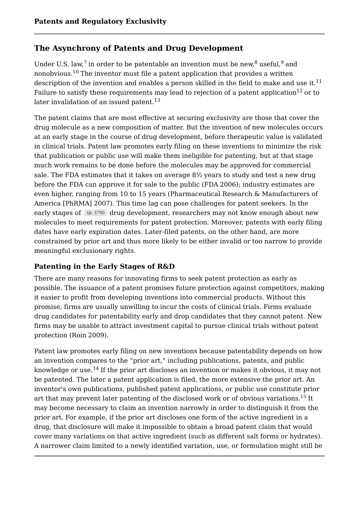# **The Asynchrony of Patents and Drug Development**

Under U.S. law,<sup>7</sup> in order to be patentable an invention must be new,<sup>8</sup> useful,<sup>9</sup> and nonobvious. $^{10}\rm$  The inventor must file a patent application that provides a written description of the invention and enables a person skilled in the field to make and use it.<sup>11</sup> Failure to satisfy these requirements may lead to rejection of a patent application $^{12}$  or to later invalidation of an issued patent.<sup>13</sup> Regulatory Exclusivity<br>
Tim order to be patentable an invention must be new,<sup>8</sup> useful,<sup>9</sup> and<br>
The inventor must file a patent application that provides a written<br>
the invention and enables a person skilled in the field 11 13

The patent claims that are most effective at securing exclusivity are those that cover the drug molecule as a new composition of matter. But the invention of new molecules occurs at an early stage in the course of drug development, before therapeutic value is validated in clinical trials. Patent law promotes early filing on these inventions to minimize the risk that publication or public use will make them ineligible for patenting, but at that stage much work remains to be done before the molecules may be approved for commercial sale. The FDA estimates that it takes on average 8½ years to study and test a new drug before the FDA can approve it for sale to the public (FDA 2006); industry estimates are even higher, ranging from 10 to 15 years (Pharmaceutical Research & Manufacturers of America [PhRMA] 2007). This time lag can pose challenges for patent seekers. In the early stages of  $(p. \ 170)$  drug development, researchers may not know enough about new molecules to meet requirements for patent protection. Moreover, patents with early filing dates have early expiration dates. Later-filed patents, on the other hand, are more constrained by prior art and thus more likely to be either invalid or too narrow to provide meaningful exclusionary rights.

# **Patenting in the Early Stages of R&D**

There are many reasons for innovating firms to seek patent protection as early as possible. The issuance of a patent promises future protection against competitors, making it easier to profit from developing inventions into commercial products. Without this promise, firms are usually unwilling to incur the costs of clinical trials. Firms evaluate drug candidates for patentability early and drop candidates that they cannot patent. New firms may be unable to attract investment capital to pursue clinical trials without patent protection (Roin 2009).

Patent law promotes early filing on new inventions because patentability depends on how an invention compares to the "prior art," including publications, patents, and public knowledge or use.<sup>14</sup> If the prior art discloses an invention or makes it obvious, it may not be patented. The later a patent application is filed, the more extensive the prior art. An inventor's own publications, published patent applications, or public use constitute prior art that may prevent later patenting of the disclosed work or of obvious variations. $^{15}$  It may become necessary to claim an invention narrowly in order to distinguish it from the prior art. For example, if the prior art discloses one form of the active ingredient in a drug, that disclosure will make it impossible to obtain a broad patent claim that would cover many variations on that active ingredient (such as different salt forms or hydrates). A narrower claim limited to a newly identified variation, use, or formulation might still be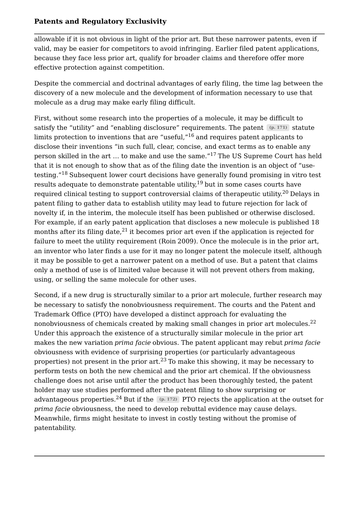allowable if it is not obvious in light of the prior art. But these narrower patents, even if valid, may be easier for competitors to avoid infringing. Earlier filed patent applications, because they face less prior art, qualify for broader claims and therefore offer more effective protection against competition.

Despite the commercial and doctrinal advantages of early filing, the time lag between the discovery of a new molecule and the development of information necessary to use that molecule as a drug may make early filing difficult.

First, without some research into the properties of a molecule, it may be difficult to satisfy the "utility" and "enabling disclosure" requirements. The patent (p. 171) statute limits protection to inventions that are "useful," $^{16}$  and requires patent applicants to disclose their inventions "in such full, clear, concise, and exact terms as to enable any person skilled in the art ... to make and use the same."<sup>17</sup> The US Supreme Court has held that it is not enough to show that as of the filing date the invention is an object of "usetesting."<sup>18</sup> Subsequent lower court decisions have generally found promising in vitro test results adequate to demonstrate patentable utility, $^{19}$  but in some cases courts have required clinical testing to support controversial claims of therapeutic utility.<sup>20</sup> Delays in patent filing to gather data to establish utility may lead to future rejection for lack of novelty if, in the interim, the molecule itself has been published or otherwise disclosed. For example, if an early patent application that discloses a new molecule is published 18 months after its filing date, $^{21}$  it becomes prior art even if the application is rejected for failure to meet the utility requirement (Roin 2009). Once the molecule is in the prior art, an inventor who later finds a use for it may no longer patent the molecule itself, although it may be possible to get a narrower patent on a method of use. But a patent that claims only a method of use is of limited value because it will not prevent others from making, using, or selling the same molecule for other uses.

Second, if a new drug is structurally similar to a prior art molecule, further research may be necessary to satisfy the nonobviousness requirement. The courts and the Patent and Trademark Office (PTO) have developed a distinct approach for evaluating the nonobviousness of chemicals created by making small changes in prior art molecules.<sup>22</sup> Under this approach the existence of a structurally similar molecule in the prior art makes the new variation *prima facie* obvious. The patent applicant may rebut *prima facie* obviousness with evidence of surprising properties (or particularly advantageous properties) not present in the prior art. $^{23}$  To make this showing, it may be necessary to perform tests on both the new chemical and the prior art chemical. If the obviousness challenge does not arise until after the product has been thoroughly tested, the patent holder may use studies performed after the patent filing to show surprising or advantageous methele unity requires that the most the proper state is since the most in the proper state. In the proper patter than  $\mu$  the proper patter than an erbor of the application at the proper patter. It is a set *prima facie* obviousness, the need to develop rebuttal evidence may cause delays. Meanwhile, firms might hesitate to invest in costly testing without the promise of patentability. 22 advantageous properties.<sup>24</sup> But if the  $(p. 172)$  PTO rejects the application at the outset for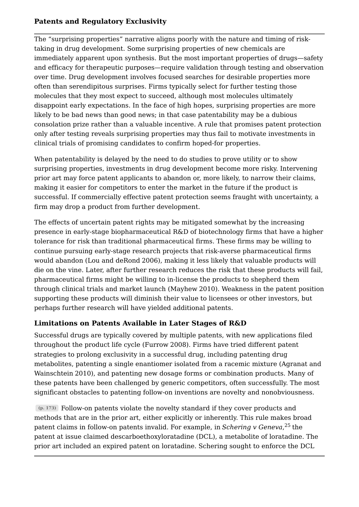The "surprising properties" narrative aligns poorly with the nature and timing of risk taking in drug development. Some surprising properties of new chemicals are immediately apparent upon synthesis. But the most important properties of drugs—safety and efficacy for therapeutic purposes—require validation through testing and observation over time. Drug development involves focused searches for desirable properties more often than serendipitous surprises. Firms typically select for further testing those molecules that they most expect to succeed, although most molecules ultimately disappoint early expectations. In the face of high hopes, surprising properties are more likely to be bad news than good news; in that case patentability may be a dubious consolation prize rather than a valuable incentive. A rule that promises patent protection only after testing reveals surprising properties may thus fail to motivate investments in clinical trials of promising candidates to confirm hoped-for properties.

When patentability is delayed by the need to do studies to prove utility or to show surprising properties, investments in drug development become more risky. Intervening prior art may force patent applicants to abandon or, more likely, to narrow their claims, making it easier for competitors to enter the market in the future if the product is successful. If commercially effective patent protection seems fraught with uncertainty, a firm may drop a product from further development.

The effects of uncertain patent rights may be mitigated somewhat by the increasing presence in early-stage biopharmaceutical R&D of biotechnology firms that have a higher tolerance for risk than traditional pharmaceutical firms. These firms may be willing to continue pursuing early-stage research projects that risk-averse pharmaceutical firms would abandon (Lou and deRond 2006), making it less likely that valuable products will die on the vine. Later, after further research reduces the risk that these products will fail, pharmaceutical firms might be willing to in-license the products to shepherd them through clinical trials and market launch (Mayhew 2010). Weakness in the patent position supporting these products will diminish their value to licensees or other investors, but perhaps further research will have yielded additional patents.

# **Limitations on Patents Available in Later Stages of R&D**

Successful drugs are typically covered by multiple patents, with new applications filed throughout the product life cycle (Furrow 2008). Firms have tried different patent strategies to prolong exclusivity in a successful drug, including patenting drug metabolites, patenting a single enantiomer isolated from a racemic mixture (Agranat and Wainschtein 2010), and patenting new dosage forms or combination products. Many of these patents have been challenged by generic competitors, often successfully. The most significant obstacles to patenting follow-on inventions are novelty and nonobviousness.

Follow-on patents violate the novelty standard if they cover products and **(p. 173)** methods that are in the prior art, either explicitly or inherently. This rule makes broad patent claims in follow-on patents invalid. For example, in *Schering v Geneva,*<sup>25</sup> the patent at issue claimed descarboethoxyloratadine (DCL), a metabolite of loratadine. The prior art included an expired patent on loratadine. Schering sought to enforce the DCL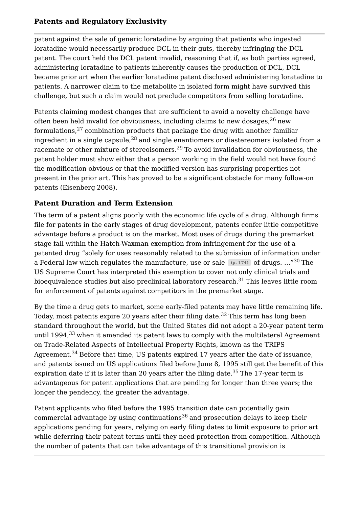patent against the sale of generic loratadine by arguing that patients who ingested loratadine would necessarily produce DCL in their guts, thereby infringing the DCL patent. The court held the DCL patent invalid, reasoning that if, as both parties agreed, administering loratadine to patients inherently causes the production of DCL, DCL became prior art when the earlier loratadine patent disclosed administering loratadine to patients. A narrower claim to the metabolite in isolated form might have survived this challenge, but such a claim would not preclude competitors from selling loratadine.

Patents claiming modest changes that are sufficient to avoid a novelty challenge have often been held invalid for obviousness, including claims to new dosages, $^{26}$  new  $\,$ formulations, $^{27}$  combination products that package the drug with another familiar ingredient in a single capsule, $^{28}$  and single enantiomers or diastereomers isolated from a racemate or other mixture of stereoisomers. $^{\rm 29}$  To avoid invalidation for obviousness, the patent holder must show either that a person working in the field would not have found the modification obvious or that the modified version has surprising properties not present in the prior art. This has proved to be a significant obstacle for many follow-on patents (Eisenberg 2008).

# **Patent Duration and Term Extension**

The term of a patent aligns poorly with the economic life cycle of a drug. Although firms file for patents in the early stages of drug development, patents confer little competitive advantage before a product is on the market. Most uses of drugs during the premarket stage fall within the Hatch-Waxman exemption from infringement for the use of a patented drug "solely for uses reasonably related to the submission of information under a Federal law which regulates the manufacture, use or sale (p. 174)of drugs. …"<sup>30</sup> The US Supreme Court has interpreted this exemption to cover not only clinical trials and bioequivalence studies but also preclinical laboratory research.<sup>31</sup> This leaves little room for enforcement of patents against competitors in the premarket stage.

By the time a drug gets to market, some early-filed patents may have little remaining life. Today, most patents expire 20 years after their filing date. $^{32}$  This term has long been  $\,$ standard throughout the world, but the United States did not adopt a 20-year patent term until 1994, $^{33}$  when it amended its patent laws to comply with the multilateral Agreement on Trade-Related Aspects of Intellectual Property Rights, known as the TRIPS Agreement. $^{34}$  Before that time, US patents expired 17 years after the date of issuance, and patents issued on US applications filed before June 8, 1995 still get the benefit of this expiration date if it is later than 20 years after the filing date. $^{35}$  The 17-year term is advantageous for patent applications that are pending for longer than three years; the longer the pendency, the greater the advantage.

Patent applicants who filed before the 1995 transition date can potentially gain commercial advantage by using continuations $^{36}$  and prosecution delays to keep their applications pending for years, relying on early filing dates to limit exposure to prior art while deferring their patent terms until they need protection from competition. Although the number of patents that can take advantage of this transitional provision is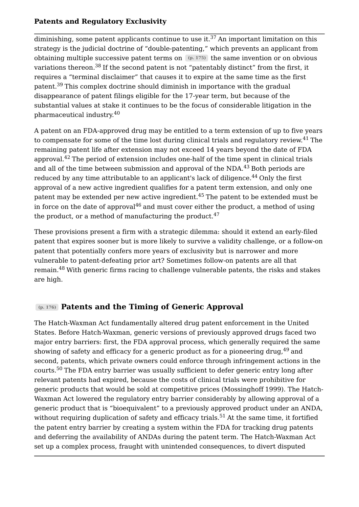diminishing, some patent applicants continue to use it. $^{37}$  An important limitation on this strategy is the judicial doctrine of "double-patenting," which prevents an applicant from obtaining multiple successive patent terms on (p. 175) the same invention or on obvious variations thereon.<sup>38</sup> If the second patent is not "patentably distinct" from the first, it requires a "terminal disclaimer" that causes it to expire at the same time as the first patent.<sup>39</sup> This complex doctrine should diminish in importance with the gradual disappearance of patent filings eligible for the 17-year term, but because of the substantial values at stake it continues to be the focus of considerable litigation in the pharmaceutical industry. 40

A patent on an FDA-approved drug may be entitled to a term extension of up to five years to compensate for some of the time lost during clinical trials and regulatory review.<sup>41</sup> The remaining patent life after extension may not exceed 14 years beyond the date of FDA approval. $^{42}$  The period of extension includes one-half of the time spent in clinical trials and all of the time between submission and approval of the NDA. $^{43}$  Both periods are reduced by any time attributable to an applicant's lack of diligence.<sup>44</sup> Only the first approval of a new active ingredient qualifies for a patent term extension, and only one patent may be extended per new active ingredient.<sup>45</sup> The patent to be extended must be in force on the date of approval $^{46}$  and must cover either the product, a method of using the product, or a method of manufacturing the product. $47$ 47

These provisions present a firm with a strategic dilemma: should it extend an early-filed patent that expires sooner but is more likely to survive a validity challenge, or a follow-on patent that potentially confers more years of exclusivity but is narrower and more vulnerable to patent-defeating prior art? Sometimes follow-on patents are all that remain.<sup>48</sup> With generic firms racing to challenge vulnerable patents, the risks and stakes are high.

# **Patents and the Timing of Generic Approval (p. 176)**

The Hatch-Waxman Act fundamentally altered drug patent enforcement in the United States. Before Hatch-Waxman, generic versions of previously approved drugs faced two major entry barriers: first, the FDA approval process, which generally required the same showing of safety and efficacy for a generic product as for a pioneering drug,<sup>49</sup> and second, patents, which private owners could enforce through infringement actions in the courts. $^{50}$  The FDA entry barrier was usually sufficient to defer generic entry long after relevant patents had expired, because the costs of clinical trials were prohibitive for generic products that would be sold at competitive prices (Mossinghoff 1999). The Hatch-Waxman Act lowered the regulatory entry barrier considerably by allowing approval of a generic product that is "bioequivalent" to a previously approved product under an ANDA, without requiring duplication of safety and efficacy trials. $^{\rm 51}$  At the same time, it fortified the patent entry barrier by creating a system within the FDA for tracking drug patents and deferring the availability of ANDAs during the patent term. The Hatch-Waxman Act set up a complex process, fraught with unintended consequences, to divert disputed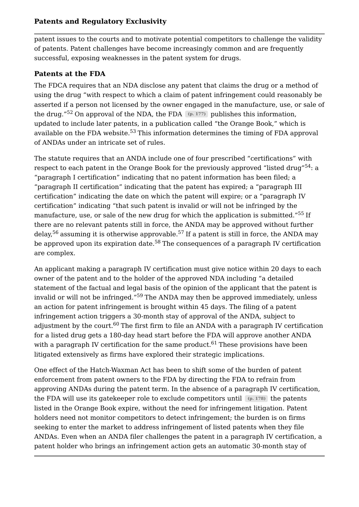patent issues to the courts and to motivate potential competitors to challenge the validity of patents. Patent challenges have become increasingly common and are frequently successful, exposing weaknesses in the patent system for drugs.

# **Patents at the FDA**

The FDCA requires that an NDA disclose any patent that claims the drug or a method of using the drug "with respect to which a claim of patent infringement could reasonably be asserted if a person not licensed by the owner engaged in the manufacture, use, or sale of **Patents and Regulatory Exclusivity**<br>patent issues to the courts and to motivate potential competitors to challenge the validity<br>of patents. Patent challenges have become increasingly common and are frequently<br>successful, updated to include later patents, in a publication called "the Orange Book," which is available on the FDA website.<sup>53</sup> This information determines the timing of FDA approval of ANDAs under an intricate set of rules. the drug."<sup>52</sup> On approval of the NDA, the FDA  $(p. 177)$  publishes this information,

The statute requires that an ANDA include one of four prescribed "certifications" with respect to each patent in the Orange Book for the previously approved "listed drug" $^{54}\!$ : a "paragraph I certification" indicating that no patent information has been filed; a "paragraph II certification" indicating that the patent has expired; a "paragraph III certification" indicating the date on which the patent will expire; or a "paragraph IV certification" indicating "that such patent is invalid or will not be infringed by the manufacture, use, or sale of the new drug for which the application is submitted."<sup>55</sup> If there are no relevant patents still in force, the ANDA may be approved without further delay,<sup>56</sup> assuming it is otherwise approvable.<sup>57</sup> If a patent is still in force, the ANDA may be approved upon its expiration date.<sup>58</sup> The consequences of a paragraph IV certification are complex.

An applicant making a paragraph IV certification must give notice within 20 days to each owner of the patent and to the holder of the approved NDA including "a detailed statement of the factual and legal basis of the opinion of the applicant that the patent is invalid or will not be infringed."<sup>59</sup> The ANDA may then be approved immediately, unless an action for patent infringement is brought within 45 days. The filing of a patent infringement action triggers a 30-month stay of approval of the ANDA, subject to adjustment by the court. $^{60}$  The first firm to file an ANDA with a paragraph IV certification for a listed drug gets a 180-day head start before the FDA will approve another ANDA with a paragraph IV certification for the same product.<sup>61</sup> These provisions have been litigated extensively as firms have explored their strategic implications.

One effect of the Hatch-Waxman Act has been to shift some of the burden of patent enforcement from patent owners to the FDA by directing the FDA to refrain from approving ANDAs during the patent term. In the absence of a paragraph IV certification, the FDA will use its gatekeeper role to exclude competitors until (p. 178) the patents listed in the Orange Book expire, without the need for infringement litigation. Patent holders need not monitor competitors to detect infringement; the burden is on firms seeking to enter the market to address infringement of listed patents when they file ANDAs. Even when an ANDA filer challenges the patent in a paragraph IV certification, a patent holder who brings an infringement action gets an automatic 30-month stay of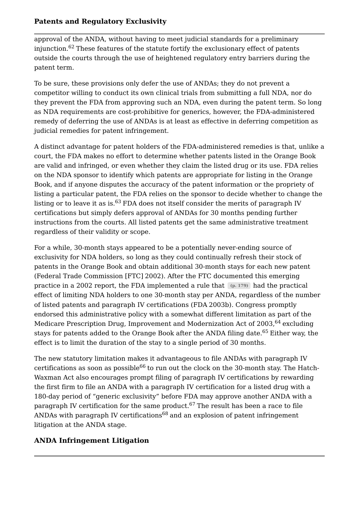approval of the ANDA, without having to meet judicial standards for a preliminary injunction. $\rm ^{62}$  These features of the statute fortify the exclusionary effect of patents outside the courts through the use of heightened regulatory entry barriers during the patent term.

To be sure, these provisions only defer the use of ANDAs; they do not prevent a competitor willing to conduct its own clinical trials from submitting a full NDA, nor do they prevent the FDA from approving such an NDA, even during the patent term. So long as NDA requirements are cost-prohibitive for generics, however, the FDA-administered remedy of deferring the use of ANDAs is at least as effective in deferring competition as judicial remedies for patent infringement.

A distinct advantage for patent holders of the FDA-administered remedies is that, unlike a court, the FDA makes no effort to determine whether patents listed in the Orange Book are valid and infringed, or even whether they claim the listed drug or its use. FDA relies on the NDA sponsor to identify which patents are appropriate for listing in the Orange Book, and if anyone disputes the accuracy of the patent information or the propriety of listing a particular patent, the FDA relies on the sponsor to decide whether to change the listing or to leave it as is. $^{63}$  FDA does not itself consider the merits of paragraph IV certifications but simply defers approval of ANDAs for 30 months pending further instructions from the courts. All listed patents get the same administrative treatment regardless of their validity or scope.

For a while, 30-month stays appeared to be a potentially never-ending source of exclusivity for NDA holders, so long as they could continually refresh their stock of patents in the Orange Book and obtain additional 30-month stays for each new patent (Federal Trade Commission [FTC] 2002). After the FTC documented this emerging practice in a 2002 report, the FDA implemented a rule that  $\left(\mathbb{p}.~179\right)$  had the practical effect of limiting NDA holders to one 30-month stay per ANDA, regardless of the number of listed patents and paragraph IV certifications (FDA 2003b). Congress promptly endorsed this administrative policy with a somewhat different limitation as part of the Medicare Prescription Drug, Improvement and Modernization Act of 2003,<sup>64</sup> excluding stays for patents added to the Orange Book after the ANDA filing date.<sup>65</sup> Either way, the effect is to limit the duration of the stay to a single period of 30 months.

The new statutory limitation makes it advantageous to file ANDAs with paragraph IV certifications as soon as possible $^{66}$  to run out the clock on the 30-month stay. The Hatch-Waxman Act also encourages prompt filing of paragraph IV certifications by rewarding the first firm to file an ANDA with a paragraph IV certification for a listed drug with a 180-day period of "generic exclusivity" before FDA may approve another ANDA with a paragraph IV certification for the same product.<sup>67</sup> The result has been a race to file ANDAs with paragraph IV certifications $^{68}\,$ and an explosion of patent infringement litigation at the ANDA stage.

# **ANDA Infringement Litigation**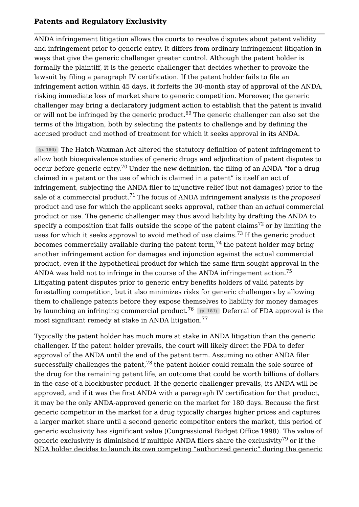ANDA infringement litigation allows the courts to resolve disputes about patent validity and infringement prior to generic entry. It differs from ordinary infringement litigation in ways that give the generic challenger greater control. Although the patent holder is formally the plaintiff, it is the generic challenger that decides whether to provoke the lawsuit by filing a paragraph IV certification. If the patent holder fails to file an infringement action within 45 days, it forfeits the 30-month stay of approval of the ANDA, risking immediate loss of market share to generic competition. Moreover, the generic challenger may bring a declaratory judgment action to establish that the patent is invalid or will not be infringed by the generic product.<sup>69</sup> The generic challenger can also set the terms of the litigation, both by selecting the patents to challenge and by defining the accused product and method of treatment for which it seeks approval in its ANDA.

The Hatch-Waxman Act altered the statutory definition of patent infringement to **(p. 180)** allow both bioequivalence studies of generic drugs and adjudication of patent disputes to occur before generic entry. $^{70}$  Under the new definition, the filing of an ANDA "for a drug claimed in a patent or the use of which is claimed in a patent" is itself an act of infringement, subjecting the ANDA filer to injunctive relief (but not damages) prior to the sale of a commercial product.<sup>71</sup> The focus of ANDA infringement analysis is the *proposed* product and use for which the applicant seeks approval, rather than an *actual* commercial product or use. The generic challenger may thus avoid liability by drafting the ANDA to specify a composition that falls outside the scope of the patent claims $^{72}$  or by limiting the uses for which it seeks approval to avoid method of use claims. $^{73}$  If the generic product becomes commercially available during the patent term, $^{74}$  the patent holder may bring another infringement action for damages and injunction against the actual commercial product, even if the hypothetical product for which the same firm sought approval in the ANDA was held not to infringe in the course of the ANDA infringement action.<sup>75</sup> Litigating patent disputes prior to generic entry benefits holders of valid patents by forestalling competition, but it also minimizes risks for generic challengers by allowing them to challenge patents before they expose themselves to liability for money damages by launching an infringing commercial product.<sup>76</sup> (p. 181) Deferral of FDA approval is the most significant remedy at stake in ANDA litigation. 75 77

NDA holder decides to launch its own competing "authorized generic" during the generic Typically the patent holder has much more at stake in ANDA litigation than the generic challenger. If the patent holder prevails, the court will likely direct the FDA to defer approval of the ANDA until the end of the patent term. Assuming no other ANDA filer successfully challenges the patent, $^{78}$  the patent holder could remain the sole source of the drug for the remaining patent life, an outcome that could be worth billions of dollars in the case of a blockbuster product. If the generic challenger prevails, its ANDA will be approved, and if it was the first ANDA with a paragraph IV certification for that product, it may be the only ANDA-approved generic on the market for 180 days. Because the first generic competitor in the market for a drug typically charges higher prices and captures a larger market share until a second generic competitor enters the market, this period of generic exclusivity has significant value (Congressional Budget Office 1998). The value of generic exclusivity is diminished if multiple ANDA filers share the exclusivity $^{79}$  or if the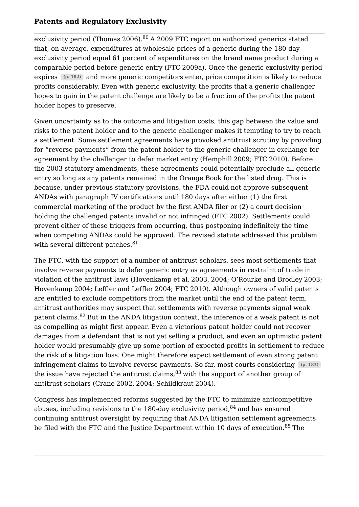exclusivity period (Thomas 2006). $^{80}$  A 2009 FTC report on authorized generics stated that, on average, expenditures at wholesale prices of a generic during the 180-day exclusivity period equal 61 percent of expenditures on the brand name product during a comparable period before generic entry (FTC 2009a). Once the generic exclusivity period expires (p. 182) and more generic competitors enter, price competition is likely to reduce profits considerably. Even with generic exclusivity, the profits that a generic challenger hopes to gain in the patent challenge are likely to be a fraction of the profits the patent holder hopes to preserve.

Given uncertainty as to the outcome and litigation costs, this gap between the value and risks to the patent holder and to the generic challenger makes it tempting to try to reach a settlement. Some settlement agreements have provoked antitrust scrutiny by providing for "reverse payments" from the patent holder to the generic challenger in exchange for agreement by the challenger to defer market entry (Hemphill 2009; FTC 2010). Before the 2003 statutory amendments, these agreements could potentially preclude all generic entry so long as any patents remained in the Orange Book for the listed drug. This is because, under previous statutory provisions, the FDA could not approve subsequent ANDAs with paragraph IV certifications until 180 days after either (1) the first commercial marketing of the product by the first ANDA filer or (2) a court decision holding the challenged patents invalid or not infringed (FTC 2002). Settlements could prevent either of these triggers from occurring, thus postponing indefinitely the time when competing ANDAs could be approved. The revised statute addressed this problem with several different patches.<sup>81</sup> 81

The FTC, with the support of a number of antitrust scholars, sees most settlements that involve reverse payments to defer generic entry as agreements in restraint of trade in violation of the antitrust laws (Hovenkamp et al. 2003, 2004; O'Rourke and Brodley 2003; Hovenkamp 2004; Leffler and Leffler 2004; FTC 2010). Although owners of valid patents are entitled to exclude competitors from the market until the end of the patent term, antitrust authorities may suspect that settlements with reverse payments signal weak patent claims.<sup>82</sup> But in the ANDA litigation context, the inference of a weak patent is not as compelling as might first appear. Even a victorious patent holder could not recover damages from a defendant that is not yet selling a product, and even an optimistic patent holder would presumably give up some portion of expected profits in settlement to reduce the risk of a litigation loss. One might therefore expect settlement of even strong patent infringement claims to involve reverse payments. So far, most courts considering **(p. 183)** the issue have rejected the antitrust claims, $^{83}$  with the support of another group of antitrust scholars (Crane 2002, 2004; Schildkraut 2004).

Congress has implemented reforms suggested by the FTC to minimize anticompetitive abuses, including revisions to the 180-day exclusivity period, $^{84}$  and has ensured continuing antitrust oversight by requiring that ANDA litigation settlement agreements be filed with the FTC and the Justice Department within 10 days of execution.<sup>85</sup> The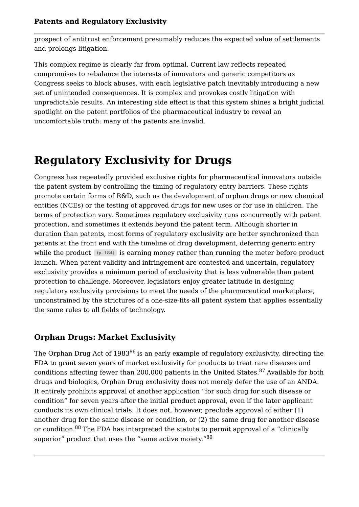prospect of antitrust enforcement presumably reduces the expected value of settlements and prolongs litigation.

This complex regime is clearly far from optimal. Current law reflects repeated compromises to rebalance the interests of innovators and generic competitors as Congress seeks to block abuses, with each legislative patch inevitably introducing a new set of unintended consequences. It is complex and provokes costly litigation with unpredictable results. An interesting side effect is that this system shines a bright judicial spotlight on the patent portfolios of the pharmaceutical industry to reveal an uncomfortable truth: many of the patents are invalid.

# **Regulatory Exclusivity for Drugs**

Congress has repeatedly provided exclusive rights for pharmaceutical innovators outside the patent system by controlling the timing of regulatory entry barriers. These rights promote certain forms of R&D, such as the development of orphan drugs or new chemical entities (NCEs) or the testing of approved drugs for new uses or for use in children. The terms of protection vary. Sometimes regulatory exclusivity runs concurrently with patent protection, and sometimes it extends beyond the patent term. Although shorter in duration than patents, most forms of regulatory exclusivity are better synchronized than patents at the front end with the timeline of drug development, deferring generic entry while the product  $(p. 184)$  is earning money rather than running the meter before product launch. When patent validity and infringement are contested and uncertain, regulatory exclusivity provides a minimum period of exclusivity that is less vulnerable than patent protection to challenge. Moreover, legislators enjoy greater latitude in designing regulatory exclusivity provisions to meet the needs of the pharmaceutical marketplace, unconstrained by the strictures of a one-size-fits-all patent system that applies essentially the same rules to all fields of technology.

# **Orphan Drugs: Market Exclusivity**

The Orphan Drug Act of 1983 $^{86}$  is an early example of regulatory exclusivity, directing the FDA to grant seven years of market exclusivity for products to treat rare diseases and conditions affecting fewer than 200,000 patients in the United States.<sup>87</sup> Available for both drugs and biologics, Orphan Drug exclusivity does not merely defer the use of an ANDA. It entirely prohibits approval of another application "for such drug for such disease or condition" for seven years after the initial product approval, even if the later applicant conducts its own clinical trials. It does not, however, preclude approval of either (1) another drug for the same disease or condition, or (2) the same drug for another disease or condition.<sup>88</sup> The FDA has interpreted the statute to permit approval of a "clinically superior" product that uses the "same active moiety."<sup>89</sup>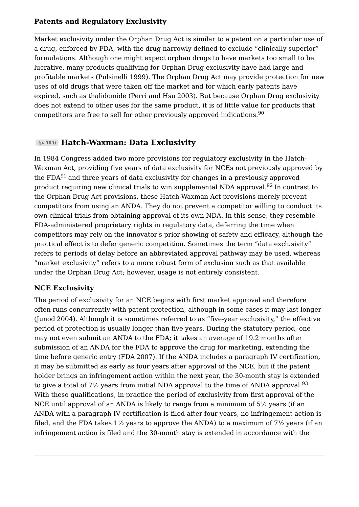Market exclusivity under the Orphan Drug Act is similar to a patent on a particular use of a drug, enforced by FDA, with the drug narrowly defined to exclude "clinically superior" formulations. Although one might expect orphan drugs to have markets too small to be lucrative, many products qualifying for Orphan Drug exclusivity have had large and profitable markets (Pulsinelli 1999). The Orphan Drug Act may provide protection for new uses of old drugs that were taken off the market and for which early patents have expired, such as thalidomide (Perri and Hsu 2003). But because Orphan Drug exclusivity does not extend to other uses for the same product, it is of little value for products that competitors are free to sell for other previously approved indications. 90

# **Hatch-Waxman: Data Exclusivity (p. 185)**

In 1984 Congress added two more provisions for regulatory exclusivity in the Hatch-Waxman Act, providing five years of data exclusivity for NCEs not previously approved by the FDA $\rm ^{91}$  and three years of data exclusivity for changes in a previously approved product requiring new clinical trials to win supplemental NDA approval.<sup>92</sup> In contrast to the Orphan Drug Act provisions, these Hatch-Waxman Act provisions merely prevent competitors from using an ANDA. They do not prevent a competitor willing to conduct its own clinical trials from obtaining approval of its own NDA. In this sense, they resemble FDA-administered proprietary rights in regulatory data, deferring the time when competitors may rely on the innovator's prior showing of safety and efficacy, although the practical effect is to defer generic competition. Sometimes the term "data exclusivity" refers to periods of delay before an abbreviated approval pathway may be used, whereas "market exclusivity" refers to a more robust form of exclusion such as that available under the Orphan Drug Act; however, usage is not entirely consistent.

# **NCE Exclusivity**

The period of exclusivity for an NCE begins with first market approval and therefore often runs concurrently with patent protection, although in some cases it may last longer (Junod 2004). Although it is sometimes referred to as "five-year exclusivity," the effective period of protection is usually longer than five years. During the statutory period, one may not even submit an ANDA to the FDA; it takes an average of 19.2 months after submission of an ANDA for the FDA to approve the drug for marketing, extending the time before generic entry (FDA 2007). If the ANDA includes a paragraph IV certification, it may be submitted as early as four years after approval of the NCE, but if the patent holder brings an infringement action within the next year, the 30-month stay is extended to give a total of 7½ years from initial NDA approval to the time of ANDA approval. $^{93}$ With these qualifications, in practice the period of exclusivity from first approval of the NCE until approval of an ANDA is likely to range from a minimum of 5½ years (if an ANDA with a paragraph IV certification is filed after four years, no infringement action is filed, and the FDA takes  $1\frac{1}{2}$  years to approve the ANDA) to a maximum of  $7\frac{1}{2}$  years (if an infringement action is filed and the 30-month stay is extended in accordance with the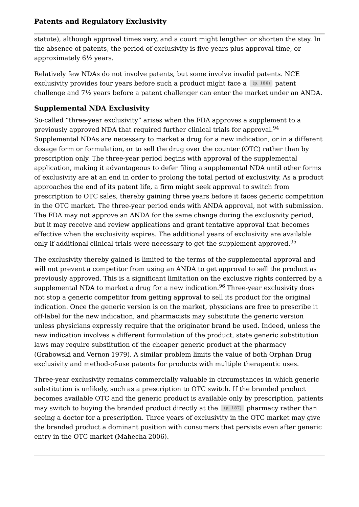statute), although approval times vary, and a court might lengthen or shorten the stay. In the absence of patents, the period of exclusivity is five years plus approval time, or approximately 6½ years.

Relatively few NDAs do not involve patents, but some involve invalid patents. NCE exclusivity provides four years before such a product might face a  $(p.~186)$  patent challenge and 7½ years before a patent challenger can enter the market under an ANDA.

#### **Supplemental NDA Exclusivity**

So-called "three-year exclusivity" arises when the FDA approves a supplement to a previously approved NDA that required further clinical trials for approval.<sup>94</sup> Supplemental NDAs are necessary to market a drug for a new indication, or in a different dosage form or formulation, or to sell the drug over the counter (OTC) rather than by prescription only. The three-year period begins with approval of the supplemental application, making it advantageous to defer filing a supplemental NDA until other forms of exclusivity are at an end in order to prolong the total period of exclusivity. As a product approaches the end of its patent life, a firm might seek approval to switch from prescription to OTC sales, thereby gaining three years before it faces generic competition in the OTC market. The three-year period ends with ANDA approval, not with submission. The FDA may not approve an ANDA for the same change during the exclusivity period, but it may receive and review applications and grant tentative approval that becomes effective when the exclusivity expires. The additional years of exclusivity are available only if additional clinical trials were necessary to get the supplement approved.<sup>95</sup> 94 95

The exclusivity thereby gained is limited to the terms of the supplemental approval and will not prevent a competitor from using an ANDA to get approval to sell the product as previously approved. This is a significant limitation on the exclusive rights conferred by a supplemental NDA to market a drug for a new indication.<sup>96</sup> Three-year exclusivity does not stop a generic competitor from getting approval to sell its product for the original indication. Once the generic version is on the market, physicians are free to prescribe it off-label for the new indication, and pharmacists may substitute the generic version unless physicians expressly require that the originator brand be used. Indeed, unless the new indication involves a different formulation of the product, state generic substitution laws may require substitution of the cheaper generic product at the pharmacy (Grabowski and Vernon 1979). A similar problem limits the value of both Orphan Drug exclusivity and method-of-use patents for products with multiple therapeutic uses.

Three-year exclusivity remains commercially valuable in circumstances in which generic substitution is unlikely, such as a prescription to OTC switch. If the branded product becomes available OTC and the generic product is available only by prescription, patients may switch to buying the branded product directly at the [(p. 187)] pharmacy rather than seeing a doctor for a prescription. Three years of exclusivity in the OTC market may give the branded product a dominant position with consumers that persists even after generic entry in the OTC market (Mahecha 2006).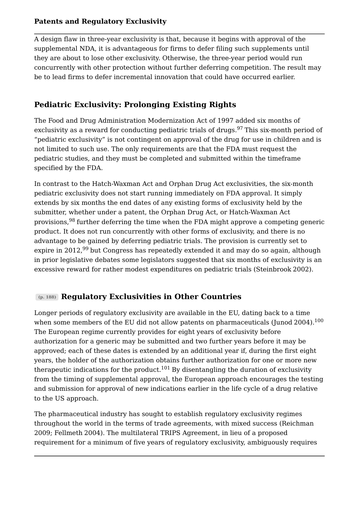A design flaw in three-year exclusivity is that, because it begins with approval of the supplemental NDA, it is advantageous for firms to defer filing such supplements until they are about to lose other exclusivity. Otherwise, the three-year period would run concurrently with other protection without further deferring competition. The result may be to lead firms to defer incremental innovation that could have occurred earlier.

# **Pediatric Exclusivity: Prolonging Existing Rights**

The Food and Drug Administration Modernization Act of 1997 added six months of exclusivity as a reward for conducting pediatric trials of drugs.<sup>97</sup> This six-month period of "pediatric exclusivity" is not contingent on approval of the drug for use in children and is not limited to such use. The only requirements are that the FDA must request the pediatric studies, and they must be completed and submitted within the timeframe specified by the FDA.

In contrast to the Hatch-Waxman Act and Orphan Drug Act exclusivities, the six-month pediatric exclusivity does not start running immediately on FDA approval. It simply extends by six months the end dates of any existing forms of exclusivity held by the submitter, whether under a patent, the Orphan Drug Act, or Hatch-Waxman Act provisions,<sup>98</sup> further deferring the time when the FDA might approve a competing generic product. It does not run concurrently with other forms of exclusivity, and there is no advantage to be gained by deferring pediatric trials. The provision is currently set to expire in 2012, $^{99}$  but Congress has repeatedly extended it and may do so again, although in prior legislative debates some legislators suggested that six months of exclusivity is an excessive reward for rather modest expenditures on pediatric trials (Steinbrook 2002).

# **Regulatory Exclusivities in Other Countries (p. 188)**

Longer periods of regulatory exclusivity are available in the EU, dating back to a time when some members of the EU did not allow patents on pharmaceuticals (Junod 2004).<sup>100</sup> The European regime currently provides for eight years of exclusivity before authorization for a generic may be submitted and two further years before it may be approved; each of these dates is extended by an additional year if, during the first eight years, the holder of the authorization obtains further authorization for one or more new therapeutic indications for the product. $^{101}$  By disentangling the duration of exclusivity from the timing of supplemental approval, the European approach encourages the testing and submission for approval of new indications earlier in the life cycle of a drug relative to the US approach. 100

The pharmaceutical industry has sought to establish regulatory exclusivity regimes throughout the world in the terms of trade agreements, with mixed success (Reichman 2009; Fellmeth 2004). The multilateral TRIPS Agreement, in lieu of a proposed requirement for a minimum of five years of regulatory exclusivity, ambiguously requires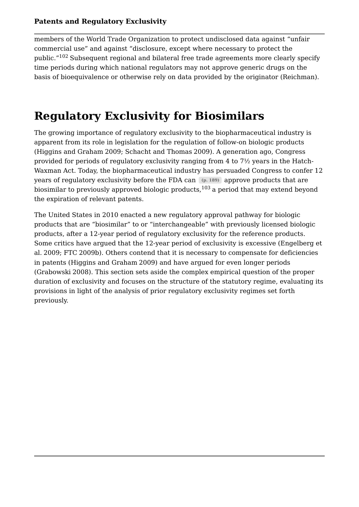members of the World Trade Organization to protect undisclosed data against "unfair commercial use" and against "disclosure, except where necessary to protect the public."<sup>102</sup> Subsequent regional and bilateral free trade agreements more clearly specify time periods during which national regulators may not approve generic drugs on the basis of bioequivalence or otherwise rely on data provided by the originator (Reichman).

# **Regulatory Exclusivity for Biosimilars**

The growing importance of regulatory exclusivity to the biopharmaceutical industry is apparent from its role in legislation for the regulation of follow-on biologic products (Higgins and Graham 2009; Schacht and Thomas2009). A generation ago, Congress provided for periods of regulatory exclusivity ranging from 4 to 7½ years in the Hatch-Waxman Act. Today, the biopharmaceutical industry has persuaded Congress to confer 12 years of regulatory exclusivity before the FDA can (p. 189) approve products that are biosimilar to previously approved biologic products, $^{103}\,$ a period that may extend beyond the expiration of relevant patents.

The United States in 2010 enacted a new regulatory approval pathway for biologic products that are "biosimilar" to or "interchangeable" with previously licensed biologic products, after a 12-year period of regulatory exclusivity for the reference products. Some critics have argued that the 12-year period of exclusivity is excessive (Engelberg et al. 2009; FTC 2009b). Others contend that it is necessary to compensate for deficiencies in patents (Higgins and Graham 2009) and have argued for even longer periods (Grabowski 2008). This section sets aside the complex empirical question of the proper duration of exclusivity and focuses on the structure of the statutory regime, evaluating its provisions in light of the analysis of prior regulatory exclusivity regimes set forth previously.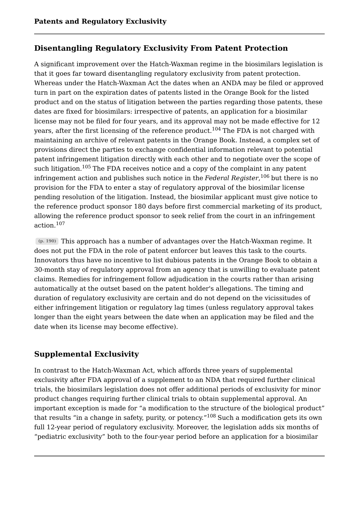# **Disentangling Regulatory Exclusivity From Patent Protection**

A significant improvement over the Hatch-Waxman regime in the biosimilars legislation is that it goes far toward disentangling regulatory exclusivity from patent protection. Whereas under the Hatch-Waxman Act the dates when an ANDA may be filed or approved turn in part on the expiration dates of patents listed in the Orange Book for the listed product and on the status of litigation between the parties regarding those patents, these dates are fixed for biosimilars: irrespective of patents, an application for a biosimilar license may not be filed for four years, and its approval may not be made effective for 12 years, after the first licensing of the reference product.<sup>104</sup> The FDA is not charged with maintaining an archive of relevant patents in the Orange Book. Instead, a complex set of provisions direct the parties to exchange confidential information relevant to potential patent infringement litigation directly with each other and to negotiate over the scope of such litigation. $^{105}$  The FDA receives notice and a copy of the complaint in any patent infringement action and publishes such notice in the *Federal Register,*  $^{106}$  but there is no provision for the FDA to enter a stay of regulatory approval of the biosimilar license pending resolution of the litigation. Instead, the biosimilar applicant must give notice to the reference product sponsor 180 days before first commercial marketing of its product, allowing the reference product sponsor to seek relief from the court in an infringement action.<sup>107</sup> 107

This approach has a number of advantages over the Hatch-Waxman regime. It **(p. 190)** does not put the FDA in the role of patent enforcer but leaves this task to the courts. Innovators thus have no incentive to list dubious patents in the Orange Book to obtain a 30-month stay of regulatory approval from an agency that is unwilling to evaluate patent claims. Remedies for infringement follow adjudication in the courts rather than arising automatically at the outset based on the patent holder's allegations. The timing and duration of regulatory exclusivity are certain and do not depend on the vicissitudes of either infringement litigation or regulatory lag times (unless regulatory approval takes longer than the eight years between the date when an application may be filed and the date when its license may become effective).

# **Supplemental Exclusivity**

In contrast to the Hatch-Waxman Act, which affords three years of supplemental exclusivity after FDA approval of a supplement to an NDA that required further clinical trials, the biosimilars legislation does not offer additional periods of exclusivity for minor product changes requiring further clinical trials to obtain supplemental approval. An important exception is made for "a modification to the structure of the biological product" that results "in a change in safety, purity, or potency." $^{108}$  Such a modification gets its own full 12-year period of regulatory exclusivity. Moreover, the legislation adds six months of "pediatric exclusivity" both to the four-year period before an application for a biosimilar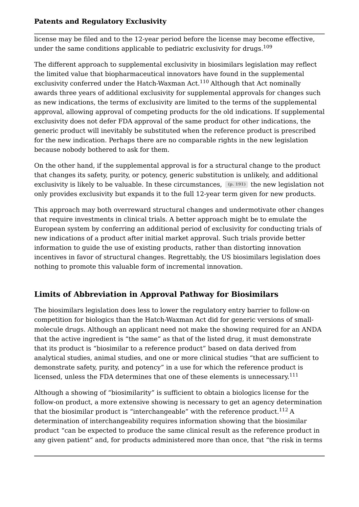license may be filed and to the 12-year period before the license may become effective, under the same conditions applicable to pediatric exclusivity for drugs.<sup>109</sup> 109

The different approach to supplemental exclusivity in biosimilars legislation may reflect the limited value that biopharmaceutical innovators have found in the supplemental exclusivity conferred under the Hatch-Waxman Act.<sup>110</sup> Although that Act nominally awards three years of additional exclusivity for supplemental approvals for changes such as new indications, the terms of exclusivity are limited to the terms of the supplemental approval, allowing approval of competing products for the old indications. If supplemental exclusivity does not defer FDA approval of the same product for other indications, the generic product will inevitably be substituted when the reference product is prescribed for the new indication. Perhaps there are no comparable rights in the new legislation because nobody bothered to ask for them.

On the other hand, if the supplemental approval is for a structural change to the product that changes its safety, purity, or potency, generic substitution is unlikely, and additional exclusivity is likely to be valuable. In these circumstances,  $(p. 191)$  the new legislation not only provides exclusivity but expands it to the full 12-year term given for new products.

This approach may both overreward structural changes and undermotivate other changes that require investments in clinical trials. A better approach might be to emulate the European system by conferring an additional period of exclusivity for conducting trials of new indications of a product after initial market approval. Such trials provide better information to guide the use of existing products, rather than distorting innovation incentives in favor of structural changes. Regrettably, the US biosimilars legislation does nothing to promote this valuable form of incremental innovation.

# **Limits of Abbreviation in Approval Pathway for Biosimilars**

The biosimilars legislation does less to lower the regulatory entry barrier to follow-on competition for biologics than the Hatch-Waxman Act did for generic versions of smallmolecule drugs. Although an applicant need not make the showing required for an ANDA that the active ingredient is "the same" as that of the listed drug, it must demonstrate that its product is "biosimilar to a reference product" based on data derived from analytical studies, animal studies, and one or more clinical studies "that are sufficient to demonstrate safety, purity, and potency" in a use for which the reference product is licensed, unless the FDA determines that one of these elements is unnecessary.<sup>111</sup> 111

Although a showing of "biosimilarity" is sufficient to obtain a biologics license for the follow-on product, a more extensive showing is necessary to get an agency determination that the biosimilar product is "interchangeable" with the reference product. $^{112}\,\mathrm{A}$ determination of interchangeability requires information showing that the biosimilar product "can be expected to produce the same clinical result as the reference product in any given patient" and, for products administered more than once, that "the risk in terms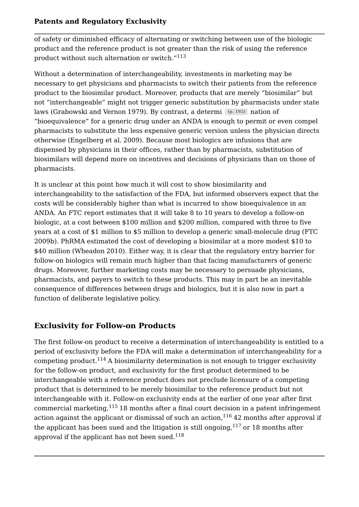of safety or diminished efficacy of alternating or switching between use of the biologic product and the reference product is not greater than the risk of using the reference product without such alternation or switch." 113

Without a determination of interchangeability, investments in marketing may be necessary to get physicians and pharmacists to switch their patients from the reference product to the biosimilar product. Moreover, products that are merely "biosimilar" but not "interchangeable" might not trigger generic substitution by pharmacists under state laws (Grabowski and Vernon 1979). By contrast, a determi (p. 192) nation of "bioequivalence" for a generic drug under an ANDA is enough to permit or even compel pharmacists to substitute the less expensive generic version unless the physician directs otherwise (Engelberg et al. 2009). Because most biologics are infusions that are dispensed by physicians in their offices, rather than by pharmacists, substitution of biosimilars will depend more on incentives and decisions of physicians than on those of pharmacists.

It is unclear at this point how much it will cost to show biosimilarity and interchangeability to the satisfaction of the FDA, but informed observers expect that the costs will be considerably higher than what is incurred to show bioequivalence in an ANDA. An FTC report estimates that it will take 8 to 10 years to develop a follow-on biologic, at a cost between \$100 million and \$200 million, compared with three to five years at a cost of \$1 million to \$5 million to develop a generic small-molecule drug (FTC 2009b). PhRMA estimated the cost of developing a biosimilar at a more modest \$10 to \$40 million (Wheadon 2010). Either way, it is clear that the regulatory entry barrier for follow-on biologics will remain much higher than that facing manufacturers of generic drugs. Moreover, further marketing costs may be necessary to persuade physicians, pharmacists, and payers to switch to these products. This may in part be an inevitable consequence of differences between drugs and biologics, but it is also now in part a function of deliberate legislative policy.

# **Exclusivity for Follow-on Products**

The first follow-on product to receive a determination of interchangeability is entitled to a period of exclusivity before the FDA will make a determination of interchangeability for a competing product. $^{114}$  A biosimilarity determination is not enough to trigger exclusivity for the follow-on product, and exclusivity for the first product determined to be interchangeable with a reference product does not preclude licensure of a competing product that is determined to be merely biosimilar to the reference product but not interchangeable with it. Follow-on exclusivity ends at the earlier of one year after first commercial marketing, $^{115}$  18 months after a final court decision in a patent infringement action against the applicant or dismissal of such an action, $^{116}\,42$  months after approval if the applicant has been sued and the litigation is still ongoing, $^{117}$  or 18 months after approval if the applicant has not been sued. $^{118}$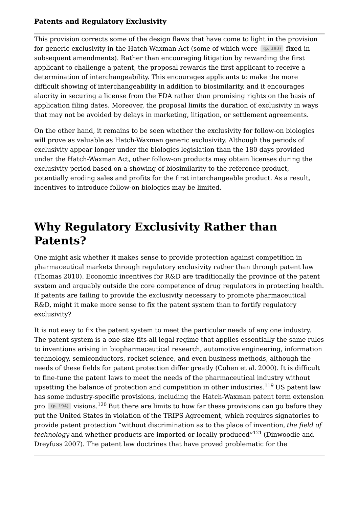This provision corrects some of the design flaws that have come to light in the provision for generic exclusivity in the Hatch-Waxman Act (some of which were  $(p. 193)$  fixed in subsequent amendments). Rather than encouraging litigation by rewarding the first applicant to challenge a patent, the proposal rewards the first applicant to receive a determination of interchangeability. This encourages applicants to make the more difficult showing of interchangeability in addition to biosimilarity, and it encourages alacrity in securing a license from the FDA rather than promising rights on the basis of application filing dates. Moreover, the proposal limits the duration of exclusivity in ways that may not be avoided by delays in marketing, litigation, or settlement agreements.

On the other hand, it remains to be seen whether the exclusivity for follow-on biologics will prove as valuable as Hatch-Waxman generic exclusivity. Although the periods of exclusivity appear longer under the biologics legislation than the 180 days provided under the Hatch-Waxman Act, other follow-on products may obtain licenses during the exclusivity period based on a showing of biosimilarity to the reference product, potentially eroding sales and profits for the first interchangeable product. As a result, incentives to introduce follow-on biologics may be limited.

# **Why Regulatory Exclusivity Rather than Patents?**

One might ask whether it makes sense to provide protection against competition in pharmaceutical markets through regulatory exclusivity rather than through patent law (Thomas 2010). Economic incentives for R&D are traditionally the province of the patent system and arguably outside the core competence of drug regulators in protecting health. If patents are failing to provide the exclusivity necessary to promote pharmaceutical R&D, might it make more sense to fix the patent system than to fortify regulatory exclusivity?

It is not easy to fix the patent system to meet the particular needs of any one industry. The patent system is a one-size-fits-all legal regime that applies essentially the same rules to inventions arising in biopharmaceutical research, automotive engineering, information technology, semiconductors, rocket science, and even business methods, although the needs of these fields for patent protection differ greatly (Cohen et al. 2000). It is difficult to fine-tune the patent laws to meet the needs of the pharmaceutical industry without upsetting the balance of protection and competition in other industries. $^{119}\, \mathrm{US}$  patent law has some industry-specific provisions, including the Hatch-Waxman patent term extension One might ask whether it makes sense to provide protection against competition in<br>pharmaceutical markets through regulatory exclusivity rather than through patent law<br>(Thomas 2010). Economic incentives for R&D are traditi put the United States in violation of the TRIPS Agreement, which requires signatories to provide patent protection "without discrimination as to the place of invention, *the field of technology* and whether products are imported or locally produced"<sup>121</sup> (Dinwoodie and Dreyfuss 2007). The patent law doctrines that have proved problematic for the pro  $(p. 194)$  visions.<sup>120</sup> But there are limits to how far these provisions can go before they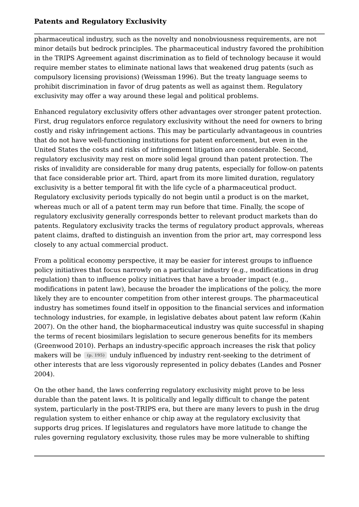pharmaceutical industry, such as the novelty and nonobviousness requirements, are not minor details but bedrock principles. The pharmaceutical industry favored the prohibition in the TRIPS Agreement against discrimination as to field of technology because it would require member states to eliminate national laws that weakened drug patents (such as compulsory licensing provisions) (Weissman 1996). But the treaty language seems to prohibit discrimination in favor of drug patents as well as against them. Regulatory exclusivity may offer a way around these legal and political problems.

Enhanced regulatory exclusivity offers other advantages over stronger patent protection. First, drug regulators enforce regulatory exclusivity without the need for owners to bring costly and risky infringement actions. This may be particularly advantageous in countries that do not have well-functioning institutions for patent enforcement, but even in the United States the costs and risks of infringement litigation are considerable. Second, regulatory exclusivity may rest on more solid legal ground than patent protection. The risks of invalidity are considerable for many drug patents, especially for follow-on patents that face considerable prior art. Third, apart from its more limited duration, regulatory exclusivity is a better temporal fit with the life cycle of a pharmaceutical product. Regulatory exclusivity periods typically do not begin until a product is on the market, whereas much or all of a patent term may run before that time. Finally, the scope of regulatory exclusivity generally corresponds better to relevant product markets than do patents. Regulatory exclusivity tracks the terms of regulatory product approvals, whereas patent claims, drafted to distinguish an invention from the prior art, may correspond less closely to any actual commercial product.

From a political economy perspective, it may be easier for interest groups to influence policy initiatives that focus narrowly on a particular industry (e.g., modifications in drug regulation) than to influence policy initiatives that have a broader impact (e.g., modifications in patent law), because the broader the implications of the policy, the more likely they are to encounter competition from other interest groups. The pharmaceutical industry has sometimes found itself in opposition to the financial services and information technology industries, for example, in legislative debates about patent law reform (Kahin 2007). On the other hand, the biopharmaceutical industry was quite successful in shaping the terms of recent biosimilars legislation to secure generous benefits for its members (Greenwood 2010). Perhaps an industry-specific approach increases the risk that policy makers will be  $(p.$  195) unduly influenced by industry rent-seeking to the detriment of other interests that are less vigorously represented in policy debates (Landes and Posner 2004).

On the other hand, the laws conferring regulatory exclusivity might prove to be less durable than the patent laws. It is politically and legally difficult to change the patent system, particularly in the post-TRIPS era, but there are many levers to push in the drug regulation system to either enhance or chip away at the regulatory exclusivity that supports drug prices. If legislatures and regulators have more latitude to change the rules governing regulatory exclusivity, those rules may be more vulnerable to shifting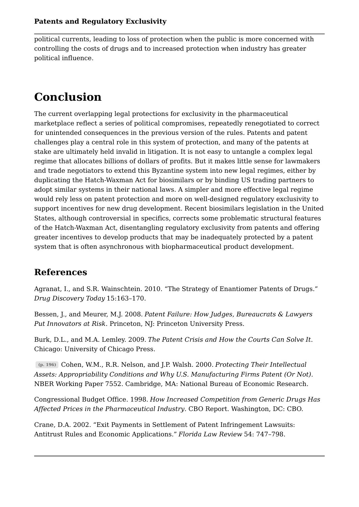political currents, leading to loss of protection when the public is more concerned with controlling the costs of drugs and to increased protection when industry has greater political influence.

# **Conclusion**

The current overlapping legal protections for exclusivity in the pharmaceutical marketplace reflect a series of political compromises, repeatedly renegotiated to correct for unintended consequences in the previous version of the rules. Patents and patent challenges play a central role in this system of protection, and many of the patents at stake are ultimately held invalid in litigation. It is not easy to untangle a complex legal regime that allocates billions of dollars of profits. But it makes little sense for lawmakers and trade negotiators to extend this Byzantine system into new legal regimes, either by duplicating the Hatch-Waxman Act for biosimilars or by binding US trading partners to adopt similar systems in their national laws. A simpler and more effective legal regime would rely less on patent protection and more on well-designed regulatory exclusivity to support incentives for new drug development. Recent biosimilars legislation in the United States, although controversial in specifics, corrects some problematic structural features of the Hatch-Waxman Act, disentangling regulatory exclusivity from patents and offering greater incentives to develop products that may be inadequately protected by a patent system that is often asynchronous with biopharmaceutical product development.

# **References**

Agranat, I., and S.R. Wainschtein. 2010. "The Strategy of Enantiomer Patents of Drugs." *Drug Discovery Today* 15:163–170.

Bessen, J., and Meurer, M.J. 2008. *Patent Failure: How Judges, Bureaucrats & Lawyers Put Innovators at Risk*. Princeton, NJ: Princeton University Press.

Burk, D.L., and M.A. Lemley. 2009. *The Patent Crisis and How the Courts Can Solve It*. Chicago: University of Chicago Press.

Cohen, W.M., R.R. Nelson, and J.P. Walsh. 2000. *Protecting Their Intellectual*  **(p. 196)** *Assets: Appropriability Conditions and Why U.S. Manufacturing Firms Patent (Or Not)*. NBER Working Paper 7552. Cambridge, MA: National Bureau of Economic Research.

Congressional Budget Office. 1998. *How Increased Competition from Generic Drugs Has Affected Prices in the Pharmaceutical Industry*. CBO Report. Washington, DC: CBO.

Crane, D.A. 2002. "Exit Payments in Settlement of Patent Infringement Lawsuits: Antitrust Rules and Economic Applications." *Florida Law Review* 54: 747–798.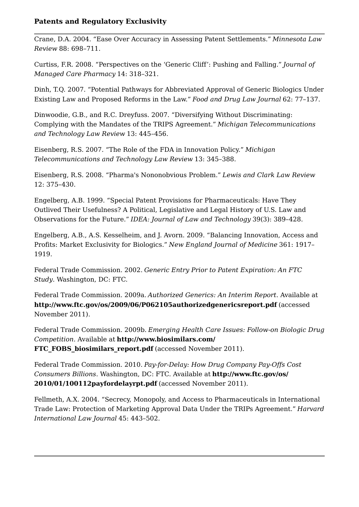Crane, D.A. 2004. "Ease Over Accuracy in Assessing Patent Settlements." *Minnesota Law Review* 88: 698–711.

Curtiss, F.R. 2008. "Perspectives on the 'Generic Cliff': Pushing and Falling." *Journal of Managed Care Pharmacy* 14: 318–321.

Dinh, T.Q. 2007. "Potential Pathways for Abbreviated Approval of Generic Biologics Under Existing Law and Proposed Reforms in the Law." *Food and Drug Law Journal* 62: 77–137.

Dinwoodie, G.B., and R.C. Dreyfuss. 2007. "Diversifying Without Discriminating: Complying with the Mandates of the TRIPS Agreement." *Michigan Telecommunications and Technology Law Review* 13: 445–456.

Eisenberg, R.S. 2007. "The Role of the FDA in Innovation Policy." *Michigan Telecommunications and Technology Law Review* 13: 345–388.

Eisenberg, R.S. 2008. "Pharma's Nononobvious Problem." *Lewis and Clark Law Review* 12: 375–430.

Engelberg, A.B. 1999. "Special Patent Provisions for Pharmaceuticals: Have They Outlived Their Usefulness? A Political, Legislative and Legal History of U.S. Law and Observations for the Future." *IDEA: Journal of Law and Technology* 39(3): 389–428.

Engelberg, A.B., A.S. Kesselheim, and J. Avorn. 2009. "Balancing Innovation, Access and Profits: Market Exclusivity for Biologics." *New England Journal of Medicine* 361: 1917– 1919.

Federal Trade Commission. 2002. *Generic Entry Prior to Patent Expiration: An FTC Study*. Washington, DC: FTC.

Federal Trade Commission. 2009a. *Authorized Generics: An Interim Report*. Available at **http://www.ftc.gov/os/2009/06/P062105authorizedgenericsreport.pdf** (accessed November 2011).

Federal Trade Commission. 2009b. *Emerging Health Care Issues: Follow-on Biologic Drug Competition*. Available at **http://www.biosimilars.com/** FTC FOBS biosimilars report.pdf (accessed November 2011).

Federal Trade Commission. 2010. *Pay-for-Delay: How Drug Company Pay-Offs Cost Consumers Billions*. Washington, DC: FTC. Available at **http://www.ftc.gov/os/ 2010/01/100112payfordelayrpt.pdf** (accessed November 2011).

Fellmeth, A.X. 2004. "Secrecy, Monopoly, and Access to Pharmaceuticals in International Trade Law: Protection of Marketing Approval Data Under the TRIPs Agreement." *Harvard International Law Journal* 45: 443–502.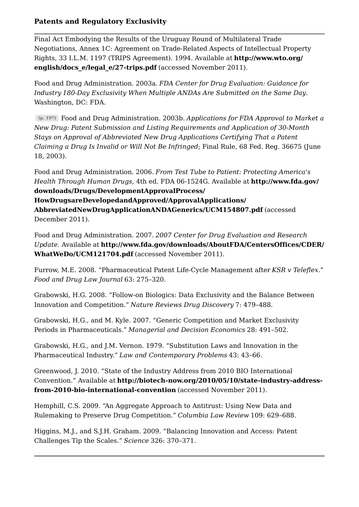Final Act Embodying the Results of the Uruguay Round of Multilateral Trade Negotiations, Annex 1C: Agreement on Trade-Related Aspects of Intellectual Property Rights, 33 I.L.M. 1197 (TRIPS Agreement). 1994. Available at **http://www.wto.org/ english/docs\_e/legal\_e/27-trips.pdf** (accessed November 2011).

Food and Drug Administration. 2003a. *FDA Center for Drug Evaluation: Guidance for Industry 180-Day Exclusivity When Multiple ANDAs Are Submitted on the Same Day*. Washington, DC: FDA.

Food and Drug Administration. 2003b. *Applications for FDA Approval to Market a*  **(p. 197)** *New Drug: Patent Submission and Listing Requirements and Application of 30-Month Stays on Approval of Abbreviated New Drug Applications Certifying That a Patent Claiming a Drug Is Invalid or Will Not Be Infringed*; Final Rule, 68 Fed. Reg. 36675 (June 18, 2003).

Food and Drug Administration. 2006. *From Test Tube to Patient: Protecting America's Health Through Human Drugs*, 4th ed. FDA 06-1524G. Available at **http://www.fda.gov/ downloads/Drugs/DevelopmentApprovalProcess/ HowDrugsareDevelopedandApproved/ApprovalApplications/ AbbreviatedNewDrugApplicationANDAGenerics/UCM154807.pdf** (accessed December 2011).

Food and Drug Administration. 2007. *2007 Center for Drug Evaluation and Research Update*. Available at **http://www.fda.gov/downloads/AboutFDA/CentersOffices/CDER/ WhatWeDo/UCM121704.pdf** (accessed November 2011).

Furrow, M.E. 2008. "Pharmaceutical Patent Life-Cycle Management after *KSR v Teleflex*." *Food and Drug Law Journal* 63: 275–320.

Grabowski, H.G. 2008. "Follow-on Biologics: Data Exclusivity and the Balance Between Innovation and Competition." *Nature Reviews Drug Discovery* 7: 479–488.

Grabowski, H.G., and M. Kyle. 2007. "Generic Competition and Market Exclusivity Periods in Pharmaceuticals." *Managerial and Decision Economics* 28: 491–502.

Grabowski, H.G., and J.M. Vernon. 1979. "Substitution Laws and Innovation in the Pharmaceutical Industry." *Law and Contemporary Problems* 43: 43–66.

Greenwood, J. 2010. "State of the Industry Address from 2010 BIO International Convention." Available at **http://biotech-now.org/2010/05/10/state-industry-addressfrom-2010-bio-international-convention** (accessed November 2011).

Hemphill, C.S. 2009. "An Aggregate Approach to Antitrust: Using New Data and Rulemaking to Preserve Drug Competition." *Columbia Law Review* 109: 629–688.

Higgins, M.J., and S.J.H. Graham. 2009. "Balancing Innovation and Access: Patent Challenges Tip the Scales." *Science* 326: 370–371.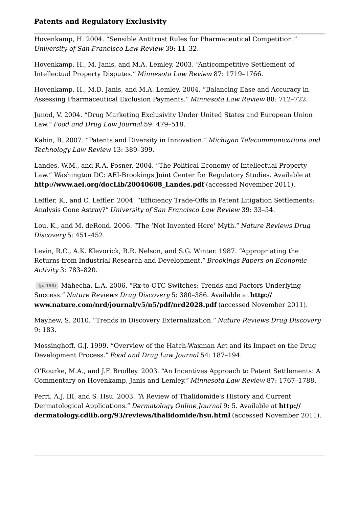Hovenkamp, H. 2004. "Sensible Antitrust Rules for Pharmaceutical Competition." *University of San Francisco Law Review* 39: 11–32.

Hovenkamp, H., M. Janis, and M.A. Lemley. 2003. "Anticompetitive Settlement of Intellectual Property Disputes." *Minnesota Law Review* 87: 1719–1766.

Hovenkamp, H., M.D. Janis, and M.A. Lemley. 2004. "Balancing Ease and Accuracy in Assessing Pharmaceutical Exclusion Payments." *Minnesota Law Review* 88: 712–722.

Junod, V. 2004. "Drug Marketing Exclusivity Under United States and European Union Law." *Food and Drug Law Journal* 59: 479–518.

Kahin, B. 2007. "Patents and Diversity in Innovation." *Michigan Telecommunications and Technology Law Review* 13: 389–399.

Landes, W.M., and R.A. Posner. 2004. "The Political Economy of Intellectual Property Law." Washington DC: AEI-Brookings Joint Center for Regulatory Studies. Available at **http://www.aei.org/docLib/20040608\_Landes.pdf** (accessed November 2011).

Leffler, K., and C. Leffler. 2004. "Efficiency Trade-Offs in Patent Litigation Settlements: Analysis Gone Astray?" *University of San Francisco Law Review* 39: 33–54.

Lou, K., and M. deRond. 2006. "The 'Not Invented Here' Myth." *Nature Reviews Drug Discovery* 5: 451–452.

Levin, R.C., A.K. Klevorick, R.R. Nelson, and S.G. Winter. 1987. "Appropriating the Returns from Industrial Research and Development." *Brookings Papers on Economic Activity* 3: 783–820.

Mahecha, L.A. 2006. "Rx-to-OTC Switches: Trends and Factors Underlying **(p. 198)** Success." *Nature Reviews Drug Discovery* 5: 380–386. Available at **http:// www.nature.com/nrd/journal/v5/n5/pdf/nrd2028.pdf** (accessed November 2011).

Mayhew, S. 2010. "Trends in Discovery Externalization." *Nature Reviews Drug Discovery* 9: 183.

Mossinghoff, G.J. 1999. "Overview of the Hatch-Waxman Act and its Impact on the Drug Development Process." *Food and Drug Law Journal* 54: 187–194.

O'Rourke, M.A., and J.F. Brodley. 2003. "An Incentives Approach to Patent Settlements: A Commentary on Hovenkamp, Janis and Lemley." *Minnesota Law Review* 87: 1767–1788.

Perri, A.J. III, and S. Hsu. 2003. "A Review of Thalidomide's History and Current Dermatological Applications." *Dermatology Online Journal* 9: 5. Available at **http:// dermatology.cdlib.org/93/reviews/thalidomide/hsu.html** (accessed November 2011).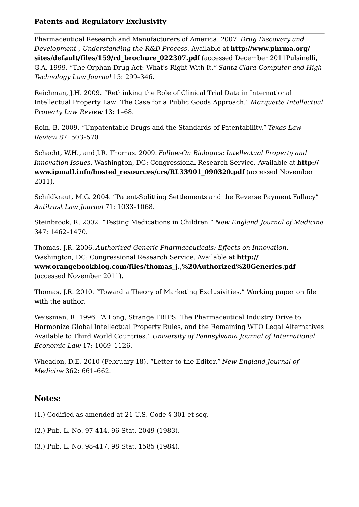Pharmaceutical Research and Manufacturers of America. 2007. *Drug Discovery and Development , Understanding the R&D Process*. Available at **http://www.phrma.org/ sites/default/files/159/rd\_brochure\_022307.pdf** (accessed December 2011Pulsinelli, G.A. 1999. "The Orphan Drug Act: What's Right With It." *Santa Clara Computer and High Technology Law Journal* 15: 299–346.

Reichman, J.H. 2009. "Rethinking the Role of Clinical Trial Data in International Intellectual Property Law: The Case for a Public Goods Approach." *Marquette Intellectual Property Law Review* 13: 1–68.

Roin, B. 2009. "Unpatentable Drugs and the Standards of Patentability." *Texas Law Review* 87: 503–570

Schacht, W.H., and J.R. Thomas. 2009. *Follow-On Biologics: Intellectual Property and Innovation Issues*. Washington, DC: Congressional Research Service. Available at **http:// www.ipmall.info/hosted\_resources/crs/RL33901\_090320.pdf** (accessed November 2011).

Schildkraut, M.G. 2004. "Patent-Splitting Settlements and the Reverse Payment Fallacy" *Antitrust Law Journal* 71: 1033–1068.

Steinbrook, R. 2002. "Testing Medications in Children." *New England Journal of Medicine* 347: 1462–1470.

Thomas, J.R. 2006. *Authorized Generic Pharmaceuticals: Effects on Innovation*. Washington, DC: Congressional Research Service. Available at **http:// www.orangebookblog.com/files/thomas\_j.,%20Authorized%20Generics.pdf** (accessed November 2011).

Thomas, J.R. 2010. "Toward a Theory of Marketing Exclusivities." Working paper on file with the author.

Weissman, R. 1996. "A Long, Strange TRIPS: The Pharmaceutical Industry Drive to Harmonize Global Intellectual Property Rules, and the Remaining WTO Legal Alternatives Available to Third World Countries." *University of Pennsylvania Journal of International Economic Law* 17: 1069–1126.

Wheadon, D.E. 2010 (February 18). "Letter to the Editor." *New England Journal of Medicine* 362: 661–662.

# **Notes:**

(1.) Codified as amended at 21 U.S. Code § 301 et seq.

(2.) Pub. L. No. 97-414, 96 Stat. 2049 (1983).

(3.) Pub. L. No. 98-417, 98 Stat. 1585 (1984).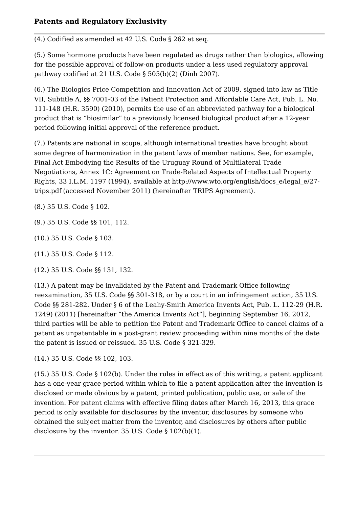(4.) Codified as amended at 42 U.S. Code § 262 et seq.

(5.) Some hormone products have been regulated as drugs rather than biologics, allowing for the possible approval of follow-on products under a less used regulatory approval pathway codified at 21 U.S. Code § 505(b)(2) (Dinh 2007).

(6.) The Biologics Price Competition and Innovation Act of 2009, signed into law as Title VII, Subtitle A, §§ 7001-03 of the Patient Protection and Affordable Care Act, Pub. L. No. 111-148 (H.R. 3590) (2010), permits the use of an abbreviated pathway for a biological product that is "biosimilar" to a previously licensed biological product after a 12-year period following initial approval of the reference product.

(7.) Patents are national in scope, although international treaties have brought about some degree of harmonization in the patent laws of member nations. See, for example, Final Act Embodying the Results of the Uruguay Round of Multilateral Trade Negotiations, Annex 1C: Agreement on Trade-Related Aspects of Intellectual Property Rights, 33 I.L.M. 1197 (1994), available at http://www.wto.org/english/docs\_e/legal\_e/27 trips.pdf (accessed November 2011) (hereinafter TRIPS Agreement).

(8.) 35 U.S. Code § 102.

(9.) 35 U.S. Code §§ 101, 112.

(10.) 35 U.S. Code § 103.

(11.) 35 U.S. Code § 112.

(12.) 35 U.S. Code §§ 131, 132.

(13.) A patent may be invalidated by the Patent and Trademark Office following reexamination, 35 U.S. Code §§ 301-318, or by a court in an infringement action, 35 U.S. Code §§ 281-282. Under § 6 of the Leahy-Smith America Invents Act, Pub. L. 112-29 (H.R. 1249) (2011) [hereinafter "the America Invents Act"], beginning September 16, 2012, third parties will be able to petition the Patent and Trademark Office to cancel claims of a patent as unpatentable in a post-grant review proceeding within nine months of the date the patent is issued or reissued. 35 U.S. Code § 321-329.

(14.) 35 U.S. Code §§ 102, 103.

(15.) 35 U.S. Code § 102(b). Under the rules in effect as of this writing, a patent applicant has a one-year grace period within which to file a patent application after the invention is disclosed or made obvious by a patent, printed publication, public use, or sale of the invention. For patent claims with effective filing dates after March 16, 2013, this grace period is only available for disclosures by the inventor, disclosures by someone who obtained the subject matter from the inventor, and disclosures by others after public disclosure by the inventor. 35 U.S. Code § 102(b)(1).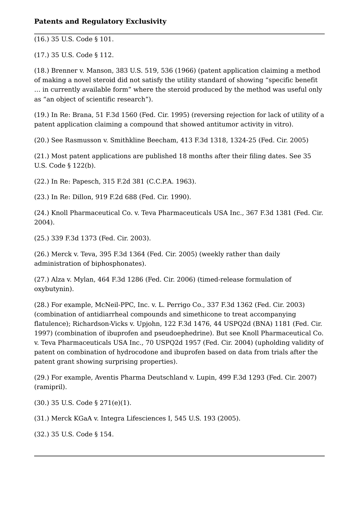(16.) 35 U.S. Code § 101.

(17.) 35 U.S. Code § 112.

(18.) Brenner v. Manson, 383 U.S. 519, 536 (1966) (patent application claiming a method of making a novel steroid did not satisfy the utility standard of showing "specific benefit **Patents and Regulatory Exclusivity**<br>
(16.) 35 U.S. Code § 101.<br>
(17.) 35 U.S. Code § 112.<br>
(18.) Brenner v. Manson, 383 U.S. 519, 536 (1966) (patent application claiming a method<br>
of making a novel steroid did not satisf as "an object of scientific research").

(19.) In Re: Brana, 51 F.3d 1560 (Fed. Cir. 1995) (reversing rejection for lack of utility of a patent application claiming a compound that showed antitumor activity in vitro).

(20.) See Rasmusson v. Smithkline Beecham, 413 F.3d 1318, 1324-25 (Fed. Cir. 2005)

(21.) Most patent applications are published 18 months after their filing dates. See 35 U.S. Code § 122(b).

(22.) In Re: Papesch, 315 F.2d 381 (C.C.P.A. 1963).

(23.) In Re: Dillon, 919 F.2d 688 (Fed. Cir. 1990).

(24.) Knoll Pharmaceutical Co. v. Teva Pharmaceuticals USA Inc., 367 F.3d 1381 (Fed. Cir. 2004).

(25.) 339 F.3d 1373 (Fed. Cir. 2003).

(26.) Merck v. Teva, 395 F.3d 1364 (Fed. Cir. 2005) (weekly rather than daily administration of biphosphonates).

(27.) Alza v. Mylan, 464 F.3d 1286 (Fed. Cir. 2006) (timed-release formulation of oxybutynin).

(28.) For example, McNeil-PPC, Inc. v. L. Perrigo Co., 337 F.3d 1362 (Fed. Cir. 2003) (combination of antidiarrheal compounds and simethicone to treat accompanying flatulence); Richardson-Vicks v. Upjohn, 122 F.3d 1476, 44 USPQ2d (BNA) 1181 (Fed. Cir. 1997) (combination of ibuprofen and pseudoephedrine). But see Knoll Pharmaceutical Co. (23.) In Re: Dillon, 919 F.2d 688 (Fed. Cir. 1990).<br>
(24.) Knoll Pharmaceutical Co. v. Teva Pharmaceuticals USA Inc., 367 F.3d 1381 (Fed. Cir. 2004).<br>
(25.) 339 F.3d 1373 (Fed. Cir. 2003).<br>
(26.) Merck v. Teva, 395 F.3d 13 patent on combination of hydrocodone and ibuprofen based on data from trials after the patent grant showing surprising properties).

(29.) For example, Aventis Pharma Deutschland v. Lupin, 499 F.3d 1293 (Fed. Cir. 2007) (ramipril).

(30.) 35 U.S. Code § 271(e)(1).

(31.) Merck KGaA v. Integra Lifesciences I, 545 U.S. 193 (2005).

(32.) 35 U.S. Code § 154.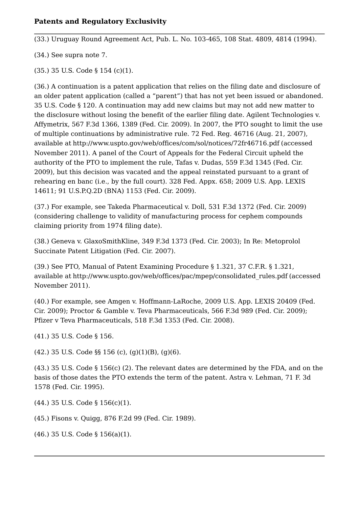(33.) Uruguay Round Agreement Act, Pub. L. No. 103-465, 108 Stat. 4809, 4814 (1994).

(34.) See supra note 7.

(35.) 35 U.S. Code § 154 (c)(1).

(36.) A continuation is a patent application that relies on the filing date and disclosure of an older patent application (called a "parent") that has not yet been issued or abandoned. 35 U.S. Code § 120. A continuation may add new claims but may not add new matter to the disclosure without losing the benefit of the earlier filing date. Agilent Technologies v. Affymetrix, 567 F.3d 1366, 1389 (Fed. Cir. 2009). In 2007, the PTO sought to limit the use of multiple continuations by administrative rule. 72 Fed. Reg. 46716 (Aug. 21, 2007), available at http://www.uspto.gov/web/offices/com/sol/notices/72fr46716.pdf (accessed November 2011). A panel of the Court of Appeals for the Federal Circuit upheld the authority of the PTO to implement the rule, Tafas v. Dudas, 559 F.3d 1345 (Fed. Cir. 2009), but this decision was vacated and the appeal reinstated pursuant to a grant of rehearing en banc (i.e., by the full court). 328 Fed. Appx. 658; 2009 U.S. App. LEXIS 14611; 91 U.S.P.Q.2D (BNA) 1153 (Fed. Cir. 2009).

(37.) For example, see Takeda Pharmaceutical v. Doll, 531 F.3d 1372 (Fed. Cir. 2009) (considering challenge to validity of manufacturing process for cephem compounds claiming priority from 1974 filing date).

(38.) Geneva v. GlaxoSmithKline, 349 F.3d 1373 (Fed. Cir. 2003); In Re: Metoprolol Succinate Patent Litigation (Fed. Cir. 2007).

(39.) See PTO, Manual of Patent Examining Procedure § 1.321, 37 C.F.R. § 1.321, available at http://www.uspto.gov/web/offices/pac/mpep/consolidated\_rules.pdf (accessed November 2011).

(40.) For example, see Amgen v. Hoffmann-LaRoche, 2009 U.S. App. LEXIS 20409 (Fed. Cir. 2009); Proctor & Gamble v. Teva Pharmaceuticals, 566 F.3d 989 (Fed. Cir. 2009); Pfizer v Teva Pharmaceuticals, 518 F.3d 1353 (Fed. Cir. 2008).

(41.) 35 U.S. Code § 156.

 $(42.)$  35 U.S. Code §§ 156 (c),  $(g)(1)(B)$ ,  $(g)(6)$ .

(43.) 35 U.S. Code § 156(c) (2). The relevant dates are determined by the FDA, and on the basis of those dates the PTO extends the term of the patent. Astra v. Lehman, 71 F. 3d 1578 (Fed. Cir. 1995).

(44.) 35 U.S. Code § 156(c)(1).

(45.) Fisons v. Quigg, 876 F.2d 99 (Fed. Cir. 1989).

(46.) 35 U.S. Code § 156(a)(1).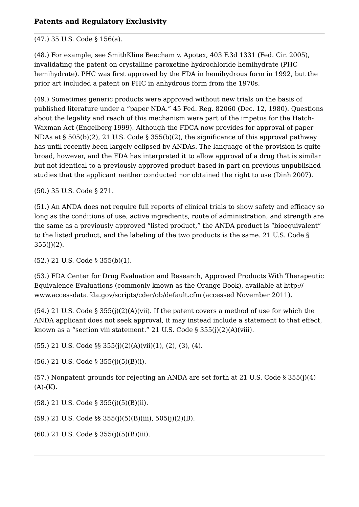#### (47.) 35 U.S. Code § 156(a).

(48.) For example, see SmithKline Beecham v. Apotex, 403 F.3d 1331 (Fed. Cir. 2005), invalidating the patent on crystalline paroxetine hydrochloride hemihydrate (PHC hemihydrate). PHC was first approved by the FDA in hemihydrous form in 1992, but the prior art included a patent on PHC in anhydrous form from the 1970s.

(49.) Sometimes generic products were approved without new trials on the basis of published literature under a "paper NDA." 45 Fed. Reg. 82060 (Dec. 12, 1980). Questions about the legality and reach of this mechanism were part of the impetus for the Hatch-Waxman Act (Engelberg 1999). Although the FDCA now provides for approval of paper NDAs at § 505(b)(2), 21 U.S. Code § 355(b)(2), the significance of this approval pathway has until recently been largely eclipsed by ANDAs. The language of the provision is quite broad, however, and the FDA has interpreted it to allow approval of a drug that is similar but not identical to a previously approved product based in part on previous unpublished studies that the applicant neither conducted nor obtained the right to use (Dinh 2007).

(50.) 35 U.S. Code § 271.

(51.) An ANDA does not require full reports of clinical trials to show safety and efficacy so long as the conditions of use, active ingredients, route of administration, and strength are the same as a previously approved "listed product," the ANDA product is "bioequivalent" to the listed product, and the labeling of the two products is the same. 21 U.S. Code § 355(j)(2).

(52.) 21 U.S. Code § 355(b)(1).

(53.) FDA Center for Drug Evaluation and Research, Approved Products With Therapeutic Equivalence Evaluations (commonly known as the Orange Book), available at http:// www.accessdata.fda.gov/scripts/cder/ob/default.cfm (accessed November 2011).

(54.) 21 U.S. Code § 355(j)(2)(A)(vii). If the patent covers a method of use for which the ANDA applicant does not seek approval, it may instead include a statement to that effect, known as a "section viii statement." 21 U.S. Code § 355(j)(2)(A)(viii).

(55.) 21 U.S. Code §§ 355(j)(2)(A)(vii)(1), (2), (3), (4).

(56.) 21 U.S. Code § 355(j)(5)(B)(i).

(57.) Nonpatent grounds for rejecting an ANDA are set forth at 21 U.S. Code § 355(j)(4)  $(A)$ - $(K)$ .

(58.) 21 U.S. Code § 355(j)(5)(B)(ii).

(59.) 21 U.S. Code §§ 355(j)(5)(B)(iii), 505(j)(2)(B).

(60.) 21 U.S. Code § 355(j)(5)(B)(iii).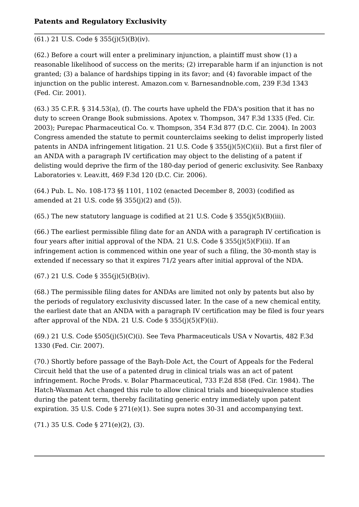#### (61.) 21 U.S. Code § 355(j)(5)(B)(iv).

(62.) Before a court will enter a preliminary injunction, a plaintiff must show (1) a reasonable likelihood of success on the merits; (2) irreparable harm if an injunction is not granted; (3) a balance of hardships tipping in its favor; and (4) favorable impact of the injunction on the public interest. Amazon.com v. Barnesandnoble.com, 239 F.3d 1343 (Fed. Cir. 2001).

(63.) 35 C.F.R. § 314.53(a), (f). The courts have upheld the FDA's position that it has no duty to screen Orange Book submissions. Apotex v. Thompson, 347 F.3d 1335 (Fed. Cir. 2003); Purepac Pharmaceutical Co. v. Thompson, 354 F.3d 877 (D.C. Cir. 2004). In 2003 Congress amended the statute to permit counterclaims seeking to delist improperly listed patents in ANDA infringement litigation. 21 U.S. Code § 355(j)(5)(C)(ii). But a first filer of an ANDA with a paragraph IV certification may object to the delisting of a patent if delisting would deprive the firm of the 180-day period of generic exclusivity. See Ranbaxy Laboratories v. Leav.itt, 469 F.3d 120 (D.C. Cir. 2006).

(64.) Pub. L. No. 108-173 §§ 1101, 1102 (enacted December 8, 2003) (codified as amended at 21 U.S. code §§ 355(j)(2) and (5)).

(65.) The new statutory language is codified at 21 U.S. Code § 355(j)(5)(B)(iii).

(66.) The earliest permissible filing date for an ANDA with a paragraph IV certification is four years after initial approval of the NDA. 21 U.S. Code §  $355(j)(5)(F)(ii)$ . If an infringement action is commenced within one year of such a filing, the 30-month stay is extended if necessary so that it expires 71/2 years after initial approval of the NDA.

(67.) 21 U.S. Code § 355(j)(5)(B)(iv).

(68.) The permissible filing dates for ANDAs are limited not only by patents but also by the periods of regulatory exclusivity discussed later. In the case of a new chemical entity, the earliest date that an ANDA with a paragraph IV certification may be filed is four years after approval of the NDA. 21 U.S. Code  $\S$  355(j)(5)(F)(ii).

 $(69.)$  21 U.S. Code  $$505(j)(5)(C)(i)$ . See Teva Pharmaceuticals USA v Novartis, 482 F.3d 1330 (Fed. Cir. 2007).

(70.) Shortly before passage of the Bayh-Dole Act, the Court of Appeals for the Federal Circuit held that the use of a patented drug in clinical trials was an act of patent infringement. Roche Prods. v. Bolar Pharmaceutical, 733 F.2d 858 (Fed. Cir. 1984). The Hatch-Waxman Act changed this rule to allow clinical trials and bioequivalence studies during the patent term, thereby facilitating generic entry immediately upon patent expiration. 35 U.S. Code § 271(e)(1). See supra notes 30-31 and accompanying text.

(71.) 35 U.S. Code § 271(e)(2), (3).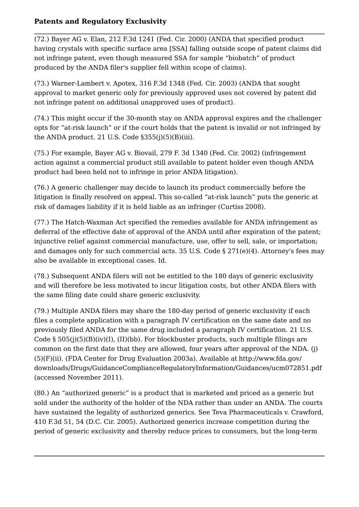(72.) Bayer AG v. Elan, 212 F.3d 1241 (Fed. Cir. 2000) (ANDA that specified product having crystals with specific surface area [SSA] falling outside scope of patent claims did not infringe patent, even though measured SSA for sample "biobatch" of product produced by the ANDA filer's supplier fell within scope of claims).

(73.) Warner-Lambert v. Apotex, 316 F.3d 1348 (Fed. Cir. 2003) (ANDA that sought approval to market generic only for previously approved uses not covered by patent did not infringe patent on additional unapproved uses of product).

(74.) This might occur if the 30-month stay on ANDA approval expires and the challenger opts for "at-risk launch" or if the court holds that the patent is invalid or not infringed by the ANDA product. 21 U.S. Code  $\S355(j)(5)(B)(iii)$ .

(75.) For example, Bayer AG v. Biovail, 279 F. 3d 1340 (Fed. Cir. 2002) (infringement action against a commercial product still available to patent holder even though ANDA product had been held not to infringe in prior ANDA litigation).

(76.) A generic challenger may decide to launch its product commercially before the litigation is finally resolved on appeal. This so-called "at-risk launch" puts the generic at risk of damages liability if it is held liable as an infringer (Curtiss 2008).

(77.) The Hatch-Waxman Act specified the remedies available for ANDA infringement as deferral of the effective date of approval of the ANDA until after expiration of the patent; injunctive relief against commercial manufacture, use, offer to sell, sale, or importation; and damages only for such commercial acts. 35 U.S. Code  $\S 271(e)(4)$ . Attorney's fees may also be available in exceptional cases. Id.

(78.) Subsequent ANDA filers will not be entitled to the 180 days of generic exclusivity and will therefore be less motivated to incur litigation costs, but other ANDA filers with the same filing date could share generic exclusivity.

(79.) Multiple ANDA filers may share the 180-day period of generic exclusivity if each files a complete application with a paragraph IV certification on the same date and no previously filed ANDA for the same drug included a paragraph IV certification. 21 U.S. Code § 505(j)(5)(B)(iv)(I), (II)(bb). For blockbuster products, such multiple filings are common on the first date that they are allowed, four years after approval of the NDA. (j) (5)(F)(ii). (FDA Center for Drug Evaluation 2003a). Available at http://www.fda.gov/ downloads/Drugs/GuidanceComplianceRegulatoryInformation/Guidances/ucm072851.pdf (accessed November 2011).

(80.) An "authorized generic" is a product that is marketed and priced as a generic but sold under the authority of the holder of the NDA rather than under an ANDA. The courts have sustained the legality of authorized generics. See Teva Pharmaceuticals v. Crawford, 410 F.3d 51, 54 (D.C. Cir. 2005). Authorized generics increase competition during the period of generic exclusivity and thereby reduce prices to consumers, but the long-term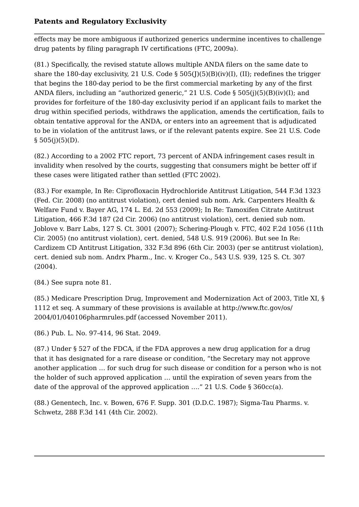effects may be more ambiguous if authorized generics undermine incentives to challenge drug patents by filing paragraph IV certifications (FTC, 2009a).

(81.) Specifically, the revised statute allows multiple ANDA filers on the same date to share the 180-day exclusivity, 21 U.S. Code § 505(J)(5)(B)(iv)(I), (II); redefines the trigger that begins the 180-day period to be the first commercial marketing by any of the first ANDA filers, including an "authorized generic," 21 U.S. Code § 505(j)(5)(B)(iv)(I); and provides for forfeiture of the 180-day exclusivity period if an applicant fails to market the drug within specified periods, withdraws the application, amends the certification, fails to obtain tentative approval for the ANDA, or enters into an agreement that is adjudicated to be in violation of the antitrust laws, or if the relevant patents expire. See 21 U.S. Code **Patents and Regulatory Exclu**<br>effects may be more ambiguous if<br>drug patents by filing paragraph I<br>(81.) Specifically, the revised statu<br>share the 180-day exclusivity, 21 U<br>that begins the 180-day period to i<br>ANDA filers,

(82.) According to a 2002 FTC report, 73 percent of ANDA infringement cases result in invalidity when resolved by the courts, suggesting that consumers might be better off if these cases were litigated rather than settled (FTC 2002).

(83.) For example, In Re: Ciprofloxacin Hydrochloride Antitrust Litigation, 544 F.3d 1323 (Fed. Cir. 2008) (no antitrust violation), cert denied sub nom. Ark. Carpenters Health & Welfare Fund v. Bayer AG, 174 L. Ed. 2d 553 (2009); In Re: Tamoxifen Citrate Antitrust Litigation, 466 F.3d 187 (2d Cir. 2006) (no antitrust violation), cert. denied sub nom. Joblove v. Barr Labs, 127 S. Ct. 3001 (2007); Schering-Plough v. FTC, 402 F.2d 1056 (11th Cir. 2005) (no antitrust violation), cert. denied, 548 U.S. 919 (2006). But see In Re: Cardizem CD Antitrust Litigation, 332 F.3d 896 (6th Cir. 2003) (per se antitrust violation), cert. denied sub nom. Andrx Pharm., Inc. v. Kroger Co., 543 U.S. 939, 125 S. Ct. 307 (2004).

(84.) See supra note 81.

(85.) Medicare Prescription Drug, Improvement and Modernization Act of 2003, Title XI, § 1112 et seq. A summary of these provisions is available at http://www.ftc.gov/os/ 2004/01/040106pharmrules.pdf (accessed November 2011).

(86.) Pub. L. No. 97-414, 96 Stat. 2049.

(87.) Under § 527 of the FDCA, if the FDA approves a new drug application for a drug that it has designated for a rare disease or condition, "the Secretary may not approve another application … for such drug for such disease or condition for a person who is not the holder of such approved application … until the expiration of seven years from the date of the approval of the approved application …." 21 U.S. Code § 360cc(a).

(88.) Genentech, Inc. v. Bowen, 676 F. Supp. 301 (D.D.C. 1987); Sigma-Tau Pharms. v. Schwetz, 288 F.3d 141 (4th Cir. 2002).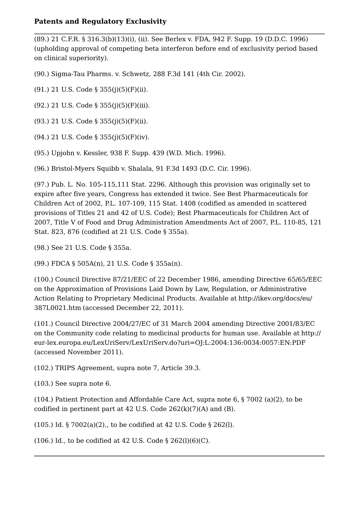(89.) 21 C.F.R. § 316.3(b)(13)(i), (ii). See Berlex v. FDA, 942 F. Supp. 19 (D.D.C. 1996) (upholding approval of competing beta interferon before end of exclusivity period based on clinical superiority).

(90.) Sigma-Tau Pharms. v. Schwetz, 288 F.3d 141 (4th Cir. 2002).

(91.) 21 U.S. Code § 355(j)(5)(F)(ii).

(92.) 21 U.S. Code § 355(j)(5)(F)(iii).

(93.) 21 U.S. Code § 355(j)(5)(F)(ii).

(94.) 21 U.S. Code § 355(j)(5)(F)(iv).

(95.) Upjohn v. Kessler, 938 F. Supp. 439 (W.D. Mich. 1996).

(96.) Bristol-Myers Squibb v. Shalala, 91 F.3d 1493 (D.C. Cir. 1996).

(97.) Pub. L. No. 105-115,111 Stat. 2296. Although this provision was originally set to expire after five years, Congress has extended it twice. See Best Pharmaceuticals for Children Act of 2002, P.L. 107-109, 115 Stat. 1408 (codified as amended in scattered provisions of Titles 21 and 42 of U.S. Code); Best Pharmaceuticals for Children Act of 2007, Title V of Food and Drug Administration Amendments Act of 2007, P.L. 110-85, 121 Stat. 823, 876 (codified at 21 U.S. Code § 355a).

(98.) See 21 U.S. Code § 355a.

(99.) FDCA § 505A(n), 21 U.S. Code § 355a(n).

(100.) Council Directive 87/21/EEC of 22 December 1986, amending Directive 65/65/EEC on the Approximation of Provisions Laid Down by Law, Regulation, or Administrative Action Relating to Proprietary Medicinal Products. Available at http://ikev.org/docs/eu/ 387L0021.htm (accessed December 22, 2011).

(101.) Council Directive 2004/27/EC of 31 March 2004 amending Directive 2001/83/EC on the Community code relating to medicinal products for human use. Available at http:// eur-lex.europa.eu/LexUriServ/LexUriServ.do?uri=OJ:L:2004:136:0034:0057:EN:PDF (accessed November 2011).

(102.) TRIPS Agreement, supra note 7, Article 39.3.

(103.) See supra note 6.

(104.) Patient Protection and Affordable Care Act, supra note 6, § 7002 (a)(2), to be codified in pertinent part at 42 U.S. Code 262(k)(7)(A) and (B).

(105.) Id. § 7002(a)(2)., to be codified at 42 U.S. Code § 262(l).

(106.) Id., to be codified at 42 U.S. Code  $\S$  262(l)(6)(C).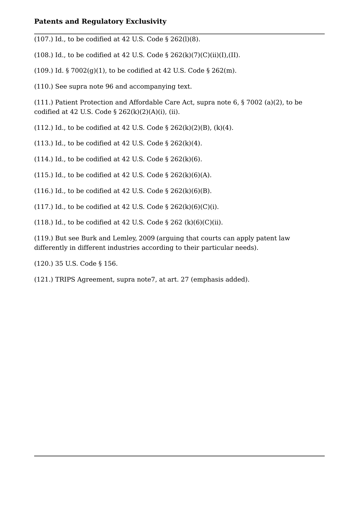(107.) Id., to be codified at 42 U.S. Code § 262(l)(8).

(108.) Id., to be codified at 42 U.S. Code  $\S$  262(k)(7)(C)(ii)(I),(II).

(109.) Id.  $\S 7002(g)(1)$ , to be codified at 42 U.S. Code  $\S 262(m)$ .

(110.) See supra note 96 and accompanying text.

(111.) Patient Protection and Affordable Care Act, supra note 6, § 7002 (a)(2), to be codified at 42 U.S. Code  $\S$  262(k)(2)(A)(i), (ii).

(112.) Id., to be codified at 42 U.S. Code § 262(k)(2)(B), (k)(4).

(113.) Id., to be codified at 42 U.S. Code  $\S$  262(k)(4).

(114.) Id., to be codified at 42 U.S. Code  $\S 262(k)(6)$ .

(115.) Id., to be codified at 42 U.S. Code  $\S$  262(k)(6)(A).

(116.) Id., to be codified at 42 U.S. Code  $\S$  262(k)(6)(B).

(117.) Id., to be codified at 42 U.S. Code  $\S$  262(k)(6)(C)(i).

(118.) Id., to be codified at 42 U.S. Code § 262 (k)(6)(C)(ii).

(119.) But see Burk and Lemley, 2009 (arguing that courts can apply patent law differently in different industries according to their particular needs).

(120.) 35 U.S. Code § 156.

(121.) TRIPS Agreement, supra note7, at art. 27 (emphasis added).